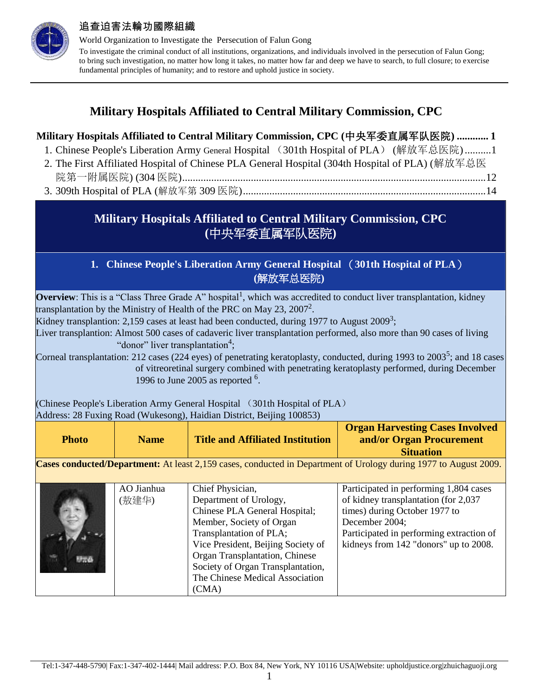

World Organization to Investigate the Persecution of Falun Gong To investigate the criminal conduct of all institutions, organizations, and individuals involved in the persecution of Falun Gong; to bring such investigation, no matter how long it takes, no matter how far and deep we have to search, to full closure; to exercise fundamental principles of humanity; and to restore and uphold justice in society.

## **Military Hospitals Affiliated to Central Military Commission, CPC**

<span id="page-0-1"></span><span id="page-0-0"></span>

|              |                                              | 2. The First Affiliated Hospital of Chinese PLA General Hospital (304th Hospital of PLA) (解放军总医                                                                                                                                                                                                                                                                                                                                                                                                                                          | Military Hospitals Affiliated to Central Military Commission, CPC (中央军委直属军队医院)  1<br>1. Chinese People's Liberation Army General Hospital (301th Hospital of PLA) (解放军总医院)1                                                                                                                                                                                  |
|--------------|----------------------------------------------|------------------------------------------------------------------------------------------------------------------------------------------------------------------------------------------------------------------------------------------------------------------------------------------------------------------------------------------------------------------------------------------------------------------------------------------------------------------------------------------------------------------------------------------|--------------------------------------------------------------------------------------------------------------------------------------------------------------------------------------------------------------------------------------------------------------------------------------------------------------------------------------------------------------|
|              |                                              | Military Hospitals Affiliated to Central Military Commission, CPC<br>(中央军委直属军队医院)                                                                                                                                                                                                                                                                                                                                                                                                                                                        |                                                                                                                                                                                                                                                                                                                                                              |
|              |                                              | 1. Chinese People's Liberation Army General Hospital (301th Hospital of PLA)<br>(解放军总医院)                                                                                                                                                                                                                                                                                                                                                                                                                                                 |                                                                                                                                                                                                                                                                                                                                                              |
|              | "donor" liver transplantation <sup>4</sup> ; | <b>Overview</b> : This is a "Class Three Grade A" hospital <sup>1</sup> , which was accredited to conduct liver transplantation, kidney<br>transplantation by the Ministry of Health of the PRC on May 23, 2007 <sup>2</sup> .<br>Kidney transplantion: 2,159 cases at least had been conducted, during 1977 to August 2009 <sup>3</sup> ;<br>1996 to June 2005 as reported $6$ .<br>(Chinese People's Liberation Army General Hospital (301th Hospital of PLA)<br>Address: 28 Fuxing Road (Wukesong), Haidian District, Beijing 100853) | Liver transplantion: Almost 500 cases of cadaveric liver transplantation performed, also more than 90 cases of living<br>Corneal transplantation: 212 cases (224 eyes) of penetrating keratoplasty, conducted, during 1993 to 2003 <sup>5</sup> ; and 18 cases<br>of vitreoretinal surgery combined with penetrating keratoplasty performed, during December |
| <b>Photo</b> | <b>Name</b>                                  | <b>Title and Affiliated Institution</b>                                                                                                                                                                                                                                                                                                                                                                                                                                                                                                  | <b>Organ Harvesting Cases Involved</b><br>and/or Organ Procurement<br><b>Situation</b>                                                                                                                                                                                                                                                                       |
|              |                                              |                                                                                                                                                                                                                                                                                                                                                                                                                                                                                                                                          | Cases conducted/Department: At least 2,159 cases, conducted in Department of Urology during 1977 to August 2009.                                                                                                                                                                                                                                             |
|              | AO Jianhua<br>(敖建华)                          | Chief Physician,<br>Department of Urology,<br>Chinese PLA General Hospital;<br>Member, Society of Organ<br>Transplantation of PLA;<br>Vice President, Beijing Society of<br>Organ Transplantation, Chinese<br>Society of Organ Transplantation,<br>The Chinese Medical Association<br>(CMA)                                                                                                                                                                                                                                              | Participated in performing 1,804 cases<br>of kidney transplantation (for 2,037<br>times) during October 1977 to<br>December 2004;<br>Participated in performing extraction of<br>kidneys from 142 "donors" up to 2008.                                                                                                                                       |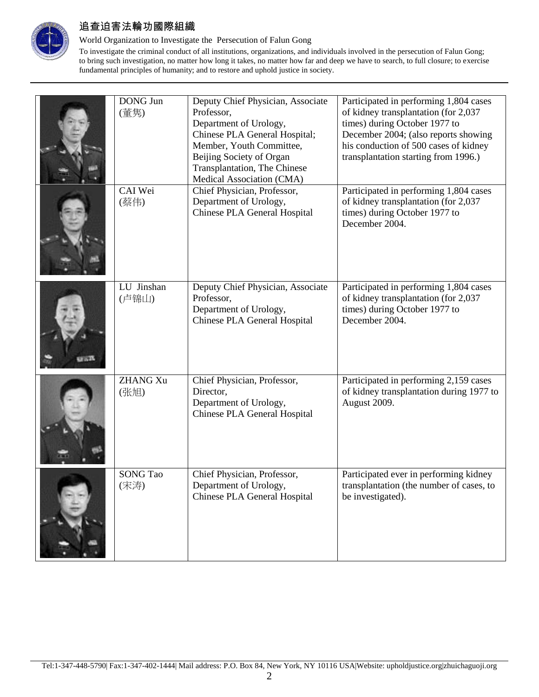

### World Organization to Investigate the Persecution of Falun Gong

| <b>DONG Jun</b><br>(董隽) | Deputy Chief Physician, Associate<br>Professor,<br>Department of Urology,<br>Chinese PLA General Hospital;<br>Member, Youth Committee,<br>Beijing Society of Organ<br>Transplantation, The Chinese<br>Medical Association (CMA) | Participated in performing 1,804 cases<br>of kidney transplantation (for 2,037<br>times) during October 1977 to<br>December 2004; (also reports showing<br>his conduction of 500 cases of kidney<br>transplantation starting from 1996.) |
|-------------------------|---------------------------------------------------------------------------------------------------------------------------------------------------------------------------------------------------------------------------------|------------------------------------------------------------------------------------------------------------------------------------------------------------------------------------------------------------------------------------------|
| CAI Wei<br>(蔡伟)         | Chief Physician, Professor,<br>Department of Urology,<br>Chinese PLA General Hospital                                                                                                                                           | Participated in performing 1,804 cases<br>of kidney transplantation (for 2,037<br>times) during October 1977 to<br>December 2004.                                                                                                        |
| LU Jinshan<br>(卢锦山)     | Deputy Chief Physician, Associate<br>Professor,<br>Department of Urology,<br>Chinese PLA General Hospital                                                                                                                       | Participated in performing 1,804 cases<br>of kidney transplantation (for 2,037<br>times) during October 1977 to<br>December 2004.                                                                                                        |
| <b>ZHANG Xu</b><br>(张旭) | Chief Physician, Professor,<br>Director,<br>Department of Urology,<br>Chinese PLA General Hospital                                                                                                                              | Participated in performing 2,159 cases<br>of kidney transplantation during 1977 to<br>August 2009.                                                                                                                                       |
| <b>SONG Tao</b><br>(宋涛) | Chief Physician, Professor,<br>Department of Urology,<br>Chinese PLA General Hospital                                                                                                                                           | Participated ever in performing kidney<br>transplantation (the number of cases, to<br>be investigated).                                                                                                                                  |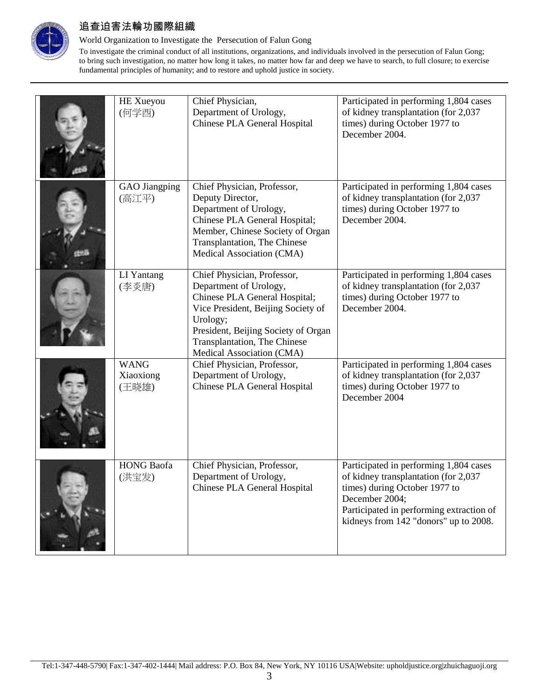

### World Organization to Investigate the Persecution of Falun Gong

| HE Xueyou<br>(何学酉)                | Chief Physician,<br>Department of Urology,<br>Chinese PLA General Hospital                                                                                                                                                                           | Participated in performing 1,804 cases<br>of kidney transplantation (for 2,037<br>times) during October 1977 to<br>December 2004.                                                                                      |
|-----------------------------------|------------------------------------------------------------------------------------------------------------------------------------------------------------------------------------------------------------------------------------------------------|------------------------------------------------------------------------------------------------------------------------------------------------------------------------------------------------------------------------|
| <b>GAO</b> Jiangping<br>(高江平)     | Chief Physician, Professor,<br>Deputy Director,<br>Department of Urology,<br>Chinese PLA General Hospital;<br>Member, Chinese Society of Organ<br>Transplantation, The Chinese<br>Medical Association (CMA)                                          | Participated in performing 1,804 cases<br>of kidney transplantation (for 2,037<br>times) during October 1977 to<br>December 2004.                                                                                      |
| LI Yantang<br>(李炎唐)               | Chief Physician, Professor,<br>Department of Urology,<br>Chinese PLA General Hospital;<br>Vice President, Beijing Society of<br>Urology;<br>President, Beijing Society of Organ<br><b>Transplantation</b> , The Chinese<br>Medical Association (CMA) | Participated in performing 1,804 cases<br>of kidney transplantation (for 2,037<br>times) during October 1977 to<br>December 2004.                                                                                      |
| <b>WANG</b><br>Xiaoxiong<br>(王晓雄) | Chief Physician, Professor,<br>Department of Urology,<br>Chinese PLA General Hospital                                                                                                                                                                | Participated in performing 1,804 cases<br>of kidney transplantation (for 2,037<br>times) during October 1977 to<br>December 2004                                                                                       |
| <b>HONG</b> Baofa<br>(洪宝发)        | Chief Physician, Professor,<br>Department of Urology,<br>Chinese PLA General Hospital                                                                                                                                                                | Participated in performing 1,804 cases<br>of kidney transplantation (for 2,037<br>times) during October 1977 to<br>December 2004;<br>Participated in performing extraction of<br>kidneys from 142 "donors" up to 2008. |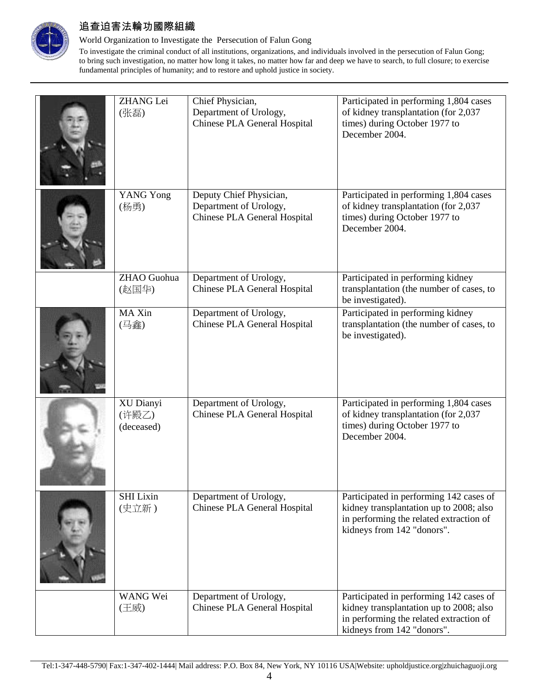

### World Organization to Investigate the Persecution of Falun Gong

| <b>ZHANG</b> Lei<br>(张磊)         | Chief Physician,<br>Department of Urology,<br>Chinese PLA General Hospital        | Participated in performing 1,804 cases<br>of kidney transplantation (for 2,037<br>times) during October 1977 to<br>December 2004.                           |
|----------------------------------|-----------------------------------------------------------------------------------|-------------------------------------------------------------------------------------------------------------------------------------------------------------|
| <b>YANG Yong</b><br>(杨勇)         | Deputy Chief Physician,<br>Department of Urology,<br>Chinese PLA General Hospital | Participated in performing 1,804 cases<br>of kidney transplantation (for 2,037<br>times) during October 1977 to<br>December 2004.                           |
| ZHAO Guohua<br>(赵国华)             | Department of Urology,<br>Chinese PLA General Hospital                            | Participated in performing kidney<br>transplantation (the number of cases, to<br>be investigated).                                                          |
| MA Xin<br>(马鑫)                   | Department of Urology,<br>Chinese PLA General Hospital                            | Participated in performing kidney<br>transplantation (the number of cases, to<br>be investigated).                                                          |
| XU Dianyi<br>(许殿乙)<br>(deceased) | Department of Urology,<br>Chinese PLA General Hospital                            | Participated in performing 1,804 cases<br>of kidney transplantation (for 2,037<br>times) during October 1977 to<br>December 2004.                           |
| <b>SHI</b> Lixin<br>(史立新)        | Department of Urology,<br>Chinese PLA General Hospital                            | Participated in performing 142 cases of<br>kidney transplantation up to 2008; also<br>in performing the related extraction of<br>kidneys from 142 "donors". |
| WANG Wei<br>(王威)                 | Department of Urology,<br>Chinese PLA General Hospital                            | Participated in performing 142 cases of<br>kidney transplantation up to 2008; also<br>in performing the related extraction of<br>kidneys from 142 "donors". |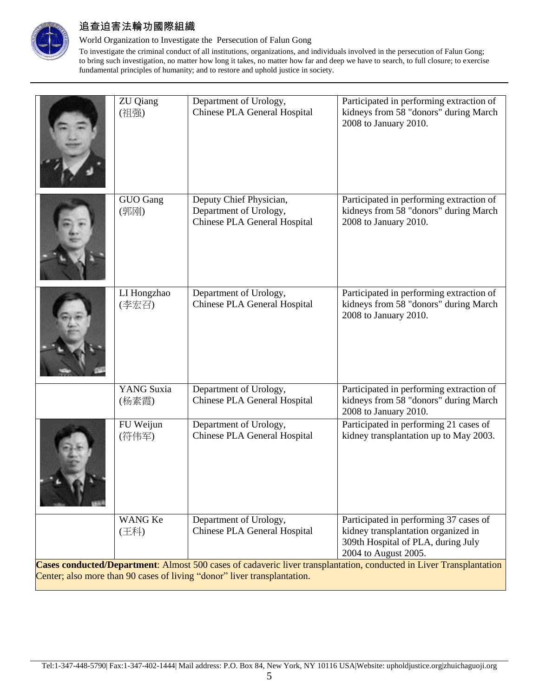

### World Organization to Investigate the Persecution of Falun Gong

|                                                                                                                                                                                                 | <b>ZU</b> Qiang<br>(祖强) | Department of Urology,<br><b>Chinese PLA General Hospital</b>                     | Participated in performing extraction of<br>kidneys from 58 "donors" during March<br>2008 to January 2010.                                  |  |
|-------------------------------------------------------------------------------------------------------------------------------------------------------------------------------------------------|-------------------------|-----------------------------------------------------------------------------------|---------------------------------------------------------------------------------------------------------------------------------------------|--|
|                                                                                                                                                                                                 | GUO Gang<br>(郭刚)        | Deputy Chief Physician,<br>Department of Urology,<br>Chinese PLA General Hospital | Participated in performing extraction of<br>kidneys from 58 "donors" during March<br>2008 to January 2010.                                  |  |
|                                                                                                                                                                                                 | LI Hongzhao<br>(李宏召)    | Department of Urology,<br>Chinese PLA General Hospital                            | Participated in performing extraction of<br>kidneys from 58 "donors" during March<br>2008 to January 2010.                                  |  |
|                                                                                                                                                                                                 | YANG Suxia<br>(杨素霞)     | Department of Urology,<br>Chinese PLA General Hospital                            | Participated in performing extraction of<br>kidneys from 58 "donors" during March<br>2008 to January 2010.                                  |  |
|                                                                                                                                                                                                 | FU Weijun<br>(符伟军)      | Department of Urology,<br>Chinese PLA General Hospital                            | Participated in performing 21 cases of<br>kidney transplantation up to May 2003.                                                            |  |
|                                                                                                                                                                                                 | <b>WANG Ke</b><br>(王科)  | Department of Urology,<br>Chinese PLA General Hospital                            | Participated in performing 37 cases of<br>kidney transplantation organized in<br>309th Hospital of PLA, during July<br>2004 to August 2005. |  |
| Cases conducted/Department: Almost 500 cases of cadaveric liver transplantation, conducted in Liver Transplantation<br>Center; also more than 90 cases of living "donor" liver transplantation. |                         |                                                                                   |                                                                                                                                             |  |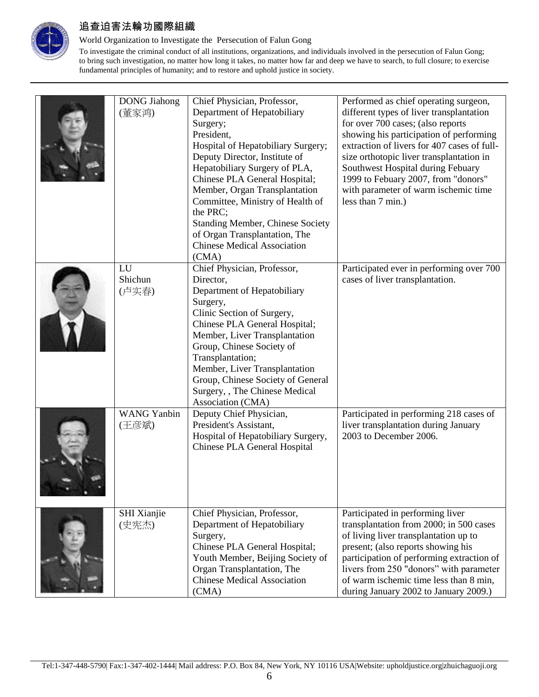

### World Organization to Investigate the Persecution of Falun Gong

| <b>DONG</b> Jiahong<br>(董家鸿) | Chief Physician, Professor,<br>Department of Hepatobiliary<br>Surgery;<br>President,<br>Hospital of Hepatobiliary Surgery;<br>Deputy Director, Institute of<br>Hepatobiliary Surgery of PLA,<br>Chinese PLA General Hospital;<br>Member, Organ Transplantation<br>Committee, Ministry of Health of<br>the PRC;<br><b>Standing Member, Chinese Society</b><br>of Organ Transplantation, The<br><b>Chinese Medical Association</b><br>(CMA) | Performed as chief operating surgeon,<br>different types of liver transplantation<br>for over 700 cases; (also reports<br>showing his participation of performing<br>extraction of livers for 407 cases of full-<br>size orthotopic liver transplantation in<br>Southwest Hospital during Febuary<br>1999 to Febuary 2007, from "donors"<br>with parameter of warm ischemic time<br>less than 7 min.) |
|------------------------------|-------------------------------------------------------------------------------------------------------------------------------------------------------------------------------------------------------------------------------------------------------------------------------------------------------------------------------------------------------------------------------------------------------------------------------------------|-------------------------------------------------------------------------------------------------------------------------------------------------------------------------------------------------------------------------------------------------------------------------------------------------------------------------------------------------------------------------------------------------------|
| LU<br>Shichun<br>(卢实春)       | Chief Physician, Professor,<br>Director,<br>Department of Hepatobiliary<br>Surgery,<br>Clinic Section of Surgery,<br>Chinese PLA General Hospital;<br>Member, Liver Transplantation<br>Group, Chinese Society of<br>Transplantation;<br>Member, Liver Transplantation<br>Group, Chinese Society of General<br>Surgery, , The Chinese Medical<br>Association (CMA)                                                                         | Participated ever in performing over 700<br>cases of liver transplantation.                                                                                                                                                                                                                                                                                                                           |
| <b>WANG Yanbin</b><br>(王彦斌)  | Deputy Chief Physician,<br>President's Assistant,<br>Hospital of Hepatobiliary Surgery,<br>Chinese PLA General Hospital                                                                                                                                                                                                                                                                                                                   | Participated in performing 218 cases of<br>liver transplantation during January<br>2003 to December 2006.                                                                                                                                                                                                                                                                                             |
| SHI Xianjie<br>(史宪杰)         | Chief Physician, Professor,<br>Department of Hepatobiliary<br>Surgery,<br>Chinese PLA General Hospital;<br>Youth Member, Beijing Society of<br>Organ Transplantation, The<br><b>Chinese Medical Association</b><br>(CMA)                                                                                                                                                                                                                  | Participated in performing liver<br>transplantation from 2000; in 500 cases<br>of living liver transplantation up to<br>present; (also reports showing his<br>participation of performing extraction of<br>livers from 250 "donors" with parameter<br>of warm ischemic time less than 8 min,<br>during January 2002 to January 2009.)                                                                 |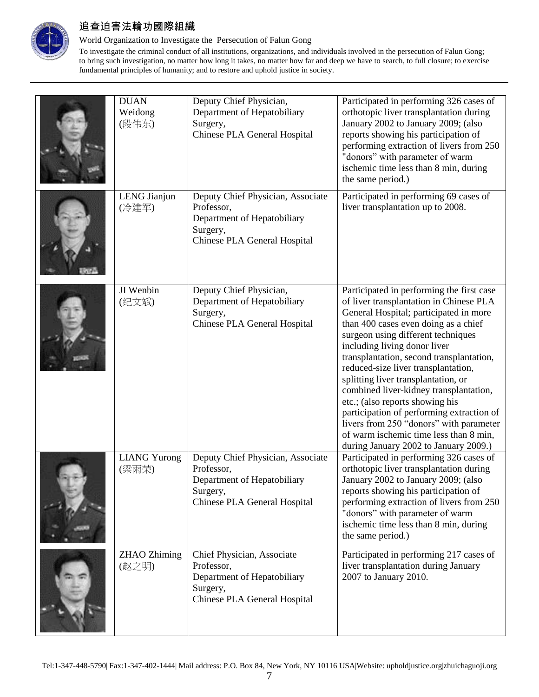

### World Organization to Investigate the Persecution of Falun Gong

| <b>DUAN</b><br>Weidong<br>(段伟东) | Deputy Chief Physician,<br>Department of Hepatobiliary<br>Surgery,<br>Chinese PLA General Hospital                         | Participated in performing 326 cases of<br>orthotopic liver transplantation during<br>January 2002 to January 2009; (also<br>reports showing his participation of<br>performing extraction of livers from 250<br>"donors" with parameter of warm<br>ischemic time less than 8 min, during<br>the same period.)                                                                                                                                                                                                                                                                                                                 |
|---------------------------------|----------------------------------------------------------------------------------------------------------------------------|--------------------------------------------------------------------------------------------------------------------------------------------------------------------------------------------------------------------------------------------------------------------------------------------------------------------------------------------------------------------------------------------------------------------------------------------------------------------------------------------------------------------------------------------------------------------------------------------------------------------------------|
| LENG Jianjun<br>(冷建军)           | Deputy Chief Physician, Associate<br>Professor,<br>Department of Hepatobiliary<br>Surgery,<br>Chinese PLA General Hospital | Participated in performing 69 cases of<br>liver transplantation up to 2008.                                                                                                                                                                                                                                                                                                                                                                                                                                                                                                                                                    |
| JI Wenbin<br>(纪文斌)              | Deputy Chief Physician,<br>Department of Hepatobiliary<br>Surgery,<br>Chinese PLA General Hospital                         | Participated in performing the first case<br>of liver transplantation in Chinese PLA<br>General Hospital; participated in more<br>than 400 cases even doing as a chief<br>surgeon using different techniques<br>including living donor liver<br>transplantation, second transplantation,<br>reduced-size liver transplantation,<br>splitting liver transplantation, or<br>combined liver-kidney transplantation,<br>etc.; (also reports showing his<br>participation of performing extraction of<br>livers from 250 "donors" with parameter<br>of warm ischemic time less than 8 min,<br>during January 2002 to January 2009.) |
| <b>LIANG Yurong</b><br>(梁雨荣)    | Deputy Chief Physician, Associate<br>Professor,<br>Department of Hepatobiliary<br>Surgery,<br>Chinese PLA General Hospital | Participated in performing 326 cases of<br>orthotopic liver transplantation during<br>January 2002 to January 2009; (also<br>reports showing his participation of<br>performing extraction of livers from 250<br>"donors" with parameter of warm<br>ischemic time less than 8 min, during<br>the same period.)                                                                                                                                                                                                                                                                                                                 |
| <b>ZHAO</b> Zhiming<br>(赵之明)    | Chief Physician, Associate<br>Professor,<br>Department of Hepatobiliary<br>Surgery,<br>Chinese PLA General Hospital        | Participated in performing 217 cases of<br>liver transplantation during January<br>2007 to January 2010.                                                                                                                                                                                                                                                                                                                                                                                                                                                                                                                       |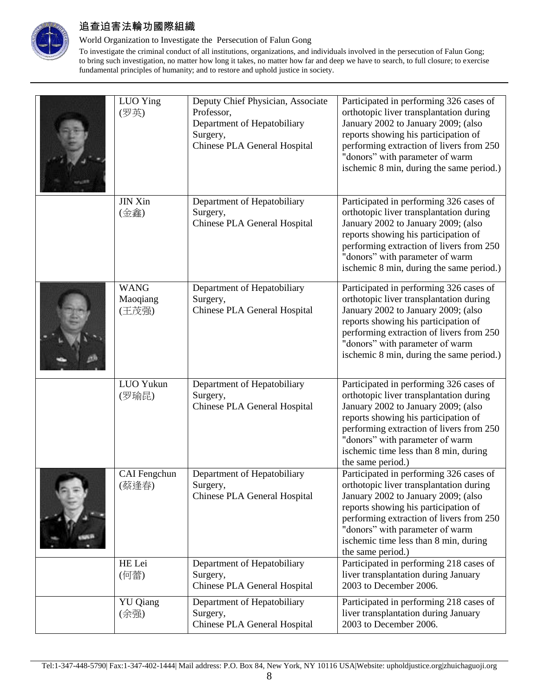

### World Organization to Investigate the Persecution of Falun Gong

| LUO Ying<br>(罗英)                 | Deputy Chief Physician, Associate<br>Professor,<br>Department of Hepatobiliary<br>Surgery,<br>Chinese PLA General Hospital | Participated in performing 326 cases of<br>orthotopic liver transplantation during<br>January 2002 to January 2009; (also<br>reports showing his participation of<br>performing extraction of livers from 250<br>"donors" with parameter of warm<br>ischemic 8 min, during the same period.)                   |
|----------------------------------|----------------------------------------------------------------------------------------------------------------------------|----------------------------------------------------------------------------------------------------------------------------------------------------------------------------------------------------------------------------------------------------------------------------------------------------------------|
| <b>JIN Xin</b><br>(金鑫)           | Department of Hepatobiliary<br>Surgery,<br>Chinese PLA General Hospital                                                    | Participated in performing 326 cases of<br>orthotopic liver transplantation during<br>January 2002 to January 2009; (also<br>reports showing his participation of<br>performing extraction of livers from 250<br>"donors" with parameter of warm<br>ischemic 8 min, during the same period.)                   |
| <b>WANG</b><br>Maoqiang<br>(王茂强) | Department of Hepatobiliary<br>Surgery,<br>Chinese PLA General Hospital                                                    | Participated in performing 326 cases of<br>orthotopic liver transplantation during<br>January 2002 to January 2009; (also<br>reports showing his participation of<br>performing extraction of livers from 250<br>"donors" with parameter of warm<br>ischemic 8 min, during the same period.)                   |
| LUO Yukun<br>(罗瑜昆)               | Department of Hepatobiliary<br>Surgery,<br>Chinese PLA General Hospital                                                    | Participated in performing 326 cases of<br>orthotopic liver transplantation during<br>January 2002 to January 2009; (also<br>reports showing his participation of<br>performing extraction of livers from 250<br>"donors" with parameter of warm<br>ischemic time less than 8 min, during<br>the same period.) |
| CAI Fengchun<br>(蔡逢春)            | Department of Hepatobiliary<br>Surgery,<br>Chinese PLA General Hospital                                                    | Participated in performing 326 cases of<br>orthotopic liver transplantation during<br>January 2002 to January 2009; (also<br>reports showing his participation of<br>performing extraction of livers from 250<br>"donors" with parameter of warm<br>ischemic time less than 8 min, during<br>the same period.) |
| HE Lei<br>(何蕾)                   | Department of Hepatobiliary<br>Surgery,<br>Chinese PLA General Hospital                                                    | Participated in performing 218 cases of<br>liver transplantation during January<br>2003 to December 2006.                                                                                                                                                                                                      |
| <b>YU</b> Qiang<br>(余强)          | Department of Hepatobiliary<br>Surgery,<br>Chinese PLA General Hospital                                                    | Participated in performing 218 cases of<br>liver transplantation during January<br>2003 to December 2006.                                                                                                                                                                                                      |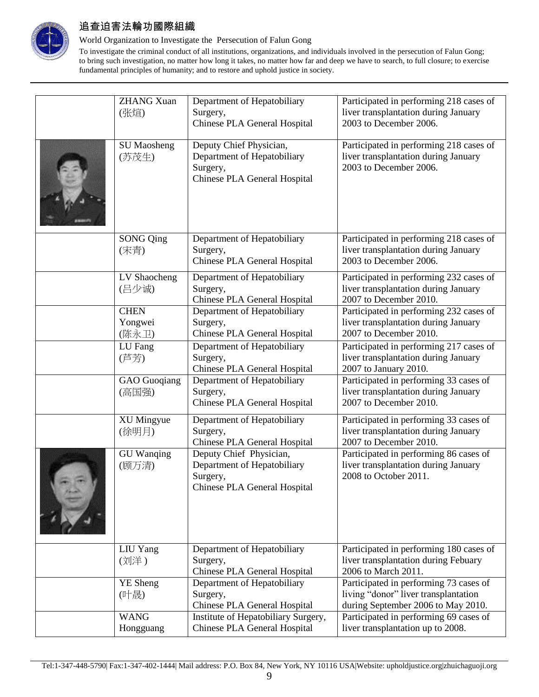

### World Organization to Investigate the Persecution of Falun Gong

| <b>ZHANG Xuan</b><br>(张煊)       | Department of Hepatobiliary<br>Surgery,<br>Chinese PLA General Hospital                            | Participated in performing 218 cases of<br>liver transplantation during January<br>2003 to December 2006.            |
|---------------------------------|----------------------------------------------------------------------------------------------------|----------------------------------------------------------------------------------------------------------------------|
| <b>SU</b> Maosheng<br>(苏茂生)     | Deputy Chief Physician,<br>Department of Hepatobiliary<br>Surgery,<br>Chinese PLA General Hospital | Participated in performing 218 cases of<br>liver transplantation during January<br>2003 to December 2006.            |
| <b>SONG Qing</b><br>(宋青)        | Department of Hepatobiliary<br>Surgery,<br>Chinese PLA General Hospital                            | Participated in performing 218 cases of<br>liver transplantation during January<br>2003 to December 2006.            |
| LV Shaocheng<br>(吕少诚)           | Department of Hepatobiliary<br>Surgery,<br>Chinese PLA General Hospital                            | Participated in performing 232 cases of<br>liver transplantation during January<br>2007 to December 2010.            |
| <b>CHEN</b><br>Yongwei<br>(陈永卫) | Department of Hepatobiliary<br>Surgery,<br>Chinese PLA General Hospital                            | Participated in performing 232 cases of<br>liver transplantation during January<br>2007 to December 2010.            |
| LU Fang<br>(芦芳)                 | Department of Hepatobiliary<br>Surgery,<br>Chinese PLA General Hospital                            | Participated in performing 217 cases of<br>liver transplantation during January<br>2007 to January 2010.             |
| <b>GAO</b> Guoqiang<br>(高国强)    | Department of Hepatobiliary<br>Surgery,<br>Chinese PLA General Hospital                            | Participated in performing 33 cases of<br>liver transplantation during January<br>2007 to December 2010.             |
| <b>XU Mingyue</b><br>(徐明月)      | Department of Hepatobiliary<br>Surgery,<br>Chinese PLA General Hospital                            | Participated in performing 33 cases of<br>liver transplantation during January<br>2007 to December 2010.             |
| <b>GU</b> Wanqing<br>(顾万清)      | Deputy Chief Physician,<br>Department of Hepatobiliary<br>Surgery,<br>Chinese PLA General Hospital | Participated in performing 86 cases of<br>liver transplantation during January<br>2008 to October 2011.              |
| LIU Yang<br>(刘洋)                | Department of Hepatobiliary<br>Surgery,<br>Chinese PLA General Hospital                            | Participated in performing 180 cases of<br>liver transplantation during Febuary<br>2006 to March 2011.               |
| <b>YE</b> Sheng<br>(叶晟)         | Department of Hepatobiliary<br>Surgery,<br>Chinese PLA General Hospital                            | Participated in performing 73 cases of<br>living "donor" liver transplantation<br>during September 2006 to May 2010. |
| <b>WANG</b><br>Hongguang        | Institute of Hepatobiliary Surgery,<br>Chinese PLA General Hospital                                | Participated in performing 69 cases of<br>liver transplantation up to 2008.                                          |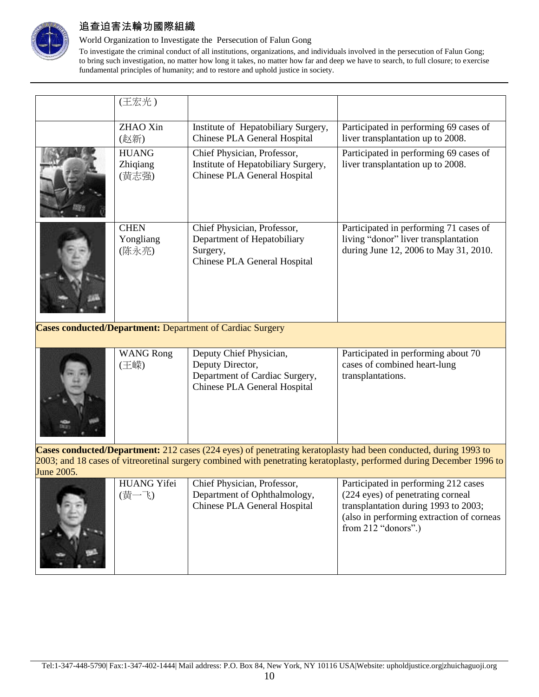

### World Organization to Investigate the Persecution of Falun Gong

To investigate the criminal conduct of all institutions, organizations, and individuals involved in the persecution of Falun Gong; to bring such investigation, no matter how long it takes, no matter how far and deep we have to search, to full closure; to exercise fundamental principles of humanity; and to restore and uphold justice in society.

| (王宏光)                             |                                                                                                        |                                                                                                                         |
|-----------------------------------|--------------------------------------------------------------------------------------------------------|-------------------------------------------------------------------------------------------------------------------------|
| ZHAO Xin<br>(赵新)                  | Institute of Hepatobiliary Surgery,<br>Chinese PLA General Hospital                                    | Participated in performing 69 cases of<br>liver transplantation up to 2008.                                             |
| <b>HUANG</b><br>Zhiqiang<br>(黄志强) | Chief Physician, Professor,<br>Institute of Hepatobiliary Surgery,<br>Chinese PLA General Hospital     | Participated in performing 69 cases of<br>liver transplantation up to 2008.                                             |
| <b>CHEN</b><br>Yongliang<br>(陈永亮) | Chief Physician, Professor,<br>Department of Hepatobiliary<br>Surgery,<br>Chinese PLA General Hospital | Participated in performing 71 cases of<br>living "donor" liver transplantation<br>during June 12, 2006 to May 31, 2010. |

**Cases conducted/Department:** Department of Cardiac Surgery

|     |                                | Participated in performing about 70 |
|-----|--------------------------------|-------------------------------------|
| 王嵘) | Deputy Director,               | cases of combined heart-lung        |
|     | Department of Cardiac Surgery, | transplantations.                   |
|     | Chinese PLA General Hospital   |                                     |
|     |                                |                                     |
|     |                                |                                     |
|     |                                |                                     |
|     |                                |                                     |
|     | <b>WANG Rong</b>               | Deputy Chief Physician,             |

**Cases conducted/Department:** 212 cases (224 eyes) of penetrating keratoplasty had been conducted, during 1993 to 2003; and 18 cases of vitreoretinal surgery combined with penetrating keratoplasty, performed during December 1996 to June 2005.

| <b>HUANG Yifei</b><br>(扩一黄) | Chief Physician, Professor,<br>Department of Ophthalmology,<br>Chinese PLA General Hospital | Participated in performing 212 cases<br>(224 eyes) of penetrating corneal<br>transplantation during 1993 to 2003;<br>(also in performing extraction of corneas<br>from $212$ "donors".) |
|-----------------------------|---------------------------------------------------------------------------------------------|-----------------------------------------------------------------------------------------------------------------------------------------------------------------------------------------|
|-----------------------------|---------------------------------------------------------------------------------------------|-----------------------------------------------------------------------------------------------------------------------------------------------------------------------------------------|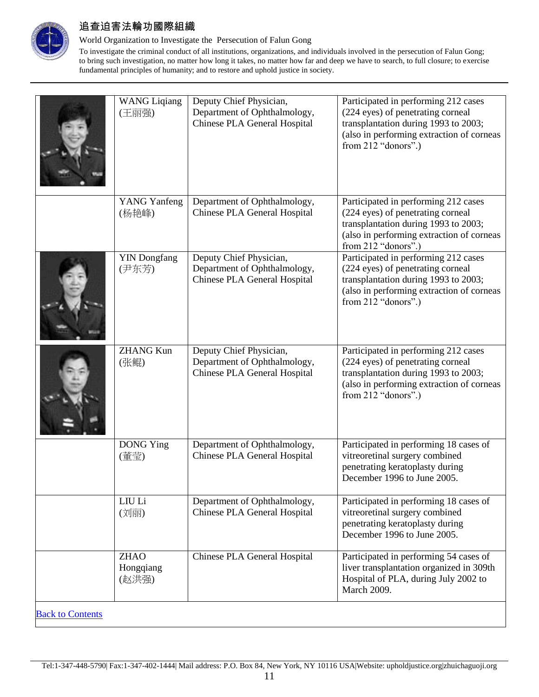

### World Organization to Investigate the Persecution of Falun Gong

|                         | <b>WANG Liqiang</b><br>(王丽强)      | Deputy Chief Physician,<br>Department of Ophthalmology,<br>Chinese PLA General Hospital | Participated in performing 212 cases<br>(224 eyes) of penetrating corneal<br>transplantation during 1993 to 2003;<br>(also in performing extraction of corneas<br>from 212 "donors".) |
|-------------------------|-----------------------------------|-----------------------------------------------------------------------------------------|---------------------------------------------------------------------------------------------------------------------------------------------------------------------------------------|
|                         | <b>YANG Yanfeng</b><br>(杨艳峰)      | Department of Ophthalmology,<br>Chinese PLA General Hospital                            | Participated in performing 212 cases<br>(224 eyes) of penetrating corneal<br>transplantation during 1993 to 2003;<br>(also in performing extraction of corneas<br>from 212 "donors".) |
|                         | <b>YIN</b> Dongfang<br>(尹东芳)      | Deputy Chief Physician,<br>Department of Ophthalmology,<br>Chinese PLA General Hospital | Participated in performing 212 cases<br>(224 eyes) of penetrating corneal<br>transplantation during 1993 to 2003;<br>(also in performing extraction of corneas<br>from 212 "donors".) |
|                         | <b>ZHANG Kun</b><br>(张鲲)          | Deputy Chief Physician,<br>Department of Ophthalmology,<br>Chinese PLA General Hospital | Participated in performing 212 cases<br>(224 eyes) of penetrating corneal<br>transplantation during 1993 to 2003;<br>(also in performing extraction of corneas<br>from 212 "donors".) |
|                         | <b>DONG</b> Ying<br>(董莹)          | Department of Ophthalmology,<br>Chinese PLA General Hospital                            | Participated in performing 18 cases of<br>vitreoretinal surgery combined<br>penetrating keratoplasty during<br>December 1996 to June 2005.                                            |
|                         | LIU Li<br>(刘丽)                    | Department of Ophthalmology,<br>Chinese PLA General Hospital                            | Participated in performing 18 cases of<br>vitreoretinal surgery combined<br>penetrating keratoplasty during<br>December 1996 to June 2005.                                            |
|                         | <b>ZHAO</b><br>Hongqiang<br>(赵洪强) | Chinese PLA General Hospital                                                            | Participated in performing 54 cases of<br>liver transplantation organized in 309th<br>Hospital of PLA, during July 2002 to<br>March 2009.                                             |
| <b>Back to Contents</b> |                                   |                                                                                         |                                                                                                                                                                                       |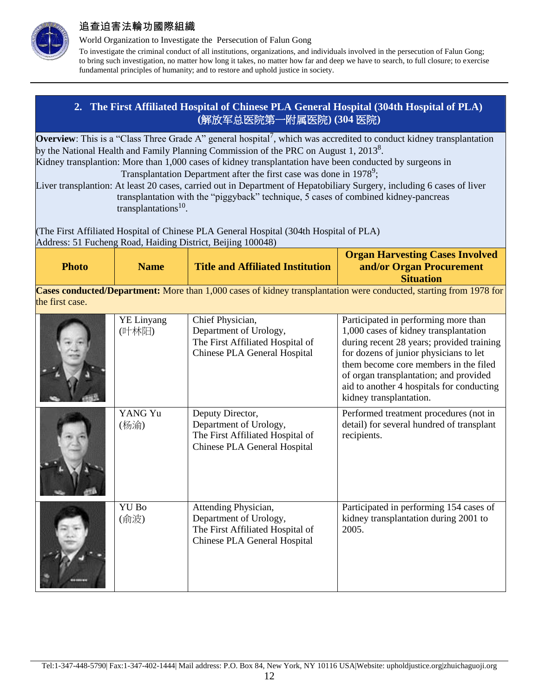

World Organization to Investigate the Persecution of Falun Gong

To investigate the criminal conduct of all institutions, organizations, and individuals involved in the persecution of Falun Gong; to bring such investigation, no matter how long it takes, no matter how far and deep we have to search, to full closure; to exercise fundamental principles of humanity; and to restore and uphold justice in society.

## **2. The First Affiliated Hospital of Chinese PLA General Hospital (304th Hospital of PLA) (**解放军总医院第一附属医院**) (304** 医院**)**

<span id="page-11-0"></span>**Overview**: This is a "Class Three Grade A" general hospital<sup>7</sup>, which was accredited to conduct kidney transplantation by the National Health and Family Planning Commission of the PRC on August 1, 2013<sup>8</sup>. Kidney transplantion: More than 1,000 cases of kidney transplantation have been conducted by surgeons in

Transplantation Department after the first case was done in 1978<sup>9</sup>; Liver transplantion: At least 20 cases, carried out in Department of Hepatobiliary Surgery, including 6 cases of liver transplantation with the "piggyback" technique, 5 cases of combined kidney-pancreas transplantations<sup>10</sup>.

(The First Affiliated Hospital of Chinese PLA General Hospital (304th Hospital of PLA) Address: 51 Fucheng Road, Haiding District, Beijing 100048)

| <b>Photo</b> | <b>Name</b> | <b>Title and Affiliated Institution</b> | <b>Organ Harvesting Cases Involved</b><br>and/or Organ Procurement<br><b>Situation</b> |
|--------------|-------------|-----------------------------------------|----------------------------------------------------------------------------------------|
| _____        |             | .<br>----                               |                                                                                        |

**Cases conducted/Department:** More than 1,000 cases of kidney transplantation were conducted, starting from 1978 for the first case.

| <b>YE Linyang</b><br>(叶林阳) | Chief Physician,<br>Department of Urology,<br>The First Affiliated Hospital of<br>Chinese PLA General Hospital     | Participated in performing more than<br>1,000 cases of kidney transplantation<br>during recent 28 years; provided training<br>for dozens of junior physicians to let<br>them become core members in the filed<br>of organ transplantation; and provided<br>aid to another 4 hospitals for conducting<br>kidney transplantation. |
|----------------------------|--------------------------------------------------------------------------------------------------------------------|---------------------------------------------------------------------------------------------------------------------------------------------------------------------------------------------------------------------------------------------------------------------------------------------------------------------------------|
| YANG Yu<br>(杨渝)            | Deputy Director,<br>Department of Urology,<br>The First Affiliated Hospital of<br>Chinese PLA General Hospital     | Performed treatment procedures (not in<br>detail) for several hundred of transplant<br>recipients.                                                                                                                                                                                                                              |
| YU Bo<br>(俞波)              | Attending Physician,<br>Department of Urology,<br>The First Affiliated Hospital of<br>Chinese PLA General Hospital | Participated in performing 154 cases of<br>kidney transplantation during 2001 to<br>2005.                                                                                                                                                                                                                                       |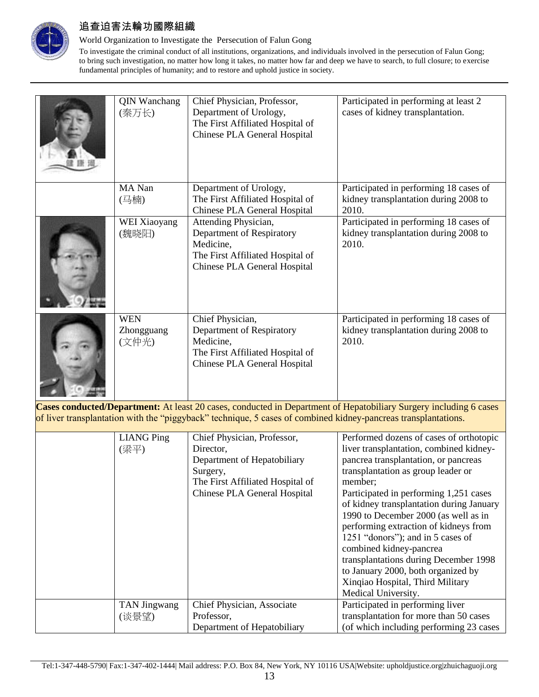

### World Organization to Investigate the Persecution of Falun Gong

To investigate the criminal conduct of all institutions, organizations, and individuals involved in the persecution of Falun Gong; to bring such investigation, no matter how long it takes, no matter how far and deep we have to search, to full closure; to exercise fundamental principles of humanity; and to restore and uphold justice in society.

| <b>QIN Wanchang</b><br>(秦万长)      | Chief Physician, Professor,<br>Department of Urology,<br>The First Affiliated Hospital of<br>Chinese PLA General Hospital          | Participated in performing at least 2<br>cases of kidney transplantation.                |
|-----------------------------------|------------------------------------------------------------------------------------------------------------------------------------|------------------------------------------------------------------------------------------|
| MA Nan<br>(马楠)                    | Department of Urology,<br>The First Affiliated Hospital of<br>Chinese PLA General Hospital                                         | Participated in performing 18 cases of<br>kidney transplantation during 2008 to<br>2010. |
| WEI Xiaoyang<br>(魏晓阳)             | Attending Physician,<br>Department of Respiratory<br>Medicine,<br>The First Affiliated Hospital of<br>Chinese PLA General Hospital | Participated in performing 18 cases of<br>kidney transplantation during 2008 to<br>2010. |
| <b>WEN</b><br>Zhongguang<br>(文仲光) | Chief Physician,<br>Department of Respiratory<br>Medicine,<br>The First Affiliated Hospital of<br>Chinese PLA General Hospital     | Participated in performing 18 cases of<br>kidney transplantation during 2008 to<br>2010. |

**Cases conducted/Department:** At least 20 cases, conducted in Department of Hepatobiliary Surgery including 6 cases of liver transplantation with the "piggyback" technique, 5 cases of combined kidney-pancreas transplantations.

| <b>LIANG Ping</b><br>(梁平)    | Chief Physician, Professor,<br>Director,<br>Department of Hepatobiliary<br>Surgery,<br>The First Affiliated Hospital of<br>Chinese PLA General Hospital | Performed dozens of cases of orthotopic<br>liver transplantation, combined kidney-<br>pancrea transplantation, or pancreas<br>transplantation as group leader or<br>member;<br>Participated in performing 1,251 cases<br>of kidney transplantation during January<br>1990 to December 2000 (as well as in<br>performing extraction of kidneys from<br>1251 "donors"); and in 5 cases of<br>combined kidney-pancrea<br>transplantations during December 1998<br>to January 2000, both organized by<br>Xinqiao Hospital, Third Military |
|------------------------------|---------------------------------------------------------------------------------------------------------------------------------------------------------|---------------------------------------------------------------------------------------------------------------------------------------------------------------------------------------------------------------------------------------------------------------------------------------------------------------------------------------------------------------------------------------------------------------------------------------------------------------------------------------------------------------------------------------|
|                              |                                                                                                                                                         | Medical University.                                                                                                                                                                                                                                                                                                                                                                                                                                                                                                                   |
| <b>TAN Jingwang</b><br>(谈景望) | Chief Physician, Associate<br>Professor,<br>Department of Hepatobiliary                                                                                 | Participated in performing liver<br>transplantation for more than 50 cases<br>(of which including performing 23 cases)                                                                                                                                                                                                                                                                                                                                                                                                                |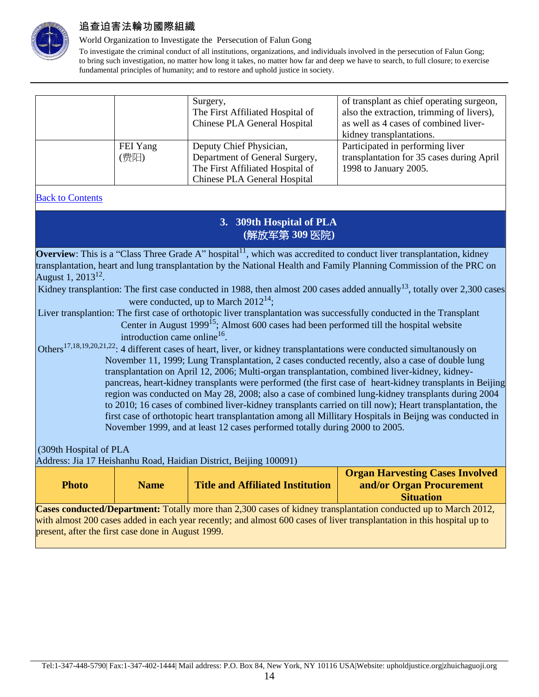

#### World Organization to Investigate the Persecution of Falun Gong

To investigate the criminal conduct of all institutions, organizations, and individuals involved in the persecution of Falun Gong; to bring such investigation, no matter how long it takes, no matter how far and deep we have to search, to full closure; to exercise fundamental principles of humanity; and to restore and uphold justice in society.

|          | Surgery,                         | of transplant as chief operating surgeon, |
|----------|----------------------------------|-------------------------------------------|
|          | The First Affiliated Hospital of | also the extraction, trimming of livers), |
|          | Chinese PLA General Hospital     | as well as 4 cases of combined liver-     |
|          |                                  | kidney transplantations.                  |
| FEI Yang | Deputy Chief Physician,          | Participated in performing liver          |
| (费阳)     | Department of General Surgery,   | transplantation for 35 cases during April |
|          | The First Affiliated Hospital of | 1998 to January 2005.                     |
|          | Chinese PLA General Hospital     |                                           |

### <span id="page-13-0"></span>**Back to Contents**

## **3. 309th Hospital of PLA (**解放军第 **309** 医院**)**

**Overview**: This is a "Class Three Grade A" hospital<sup>11</sup>, which was accredited to conduct liver transplantation, kidney transplantation, heart and lung transplantation by the National Health and Family Planning Commission of the PRC on August  $1, 2013^{12}$ .

Kidney transplantion: The first case conducted in 1988, then almost 200 cases added annually<sup>13</sup>, totally over 2,300 cases were conducted, up to March  $2012^{14}$ .

Liver transplantion: The first case of orthotopic liver transplantation was successfully conducted in the Transplant Center in August 1999<sup>15</sup>; Almost 600 cases had been performed till the hospital website introduction came online<sup>16</sup>.

Others<sup>17,18,19,20,21,22</sup>: 4 different cases of heart, liver, or kidney transplantations were conducted simultanously on November 11, 1999; Lung Transplantation, 2 cases conducted recently, also a case of double lung transplantation on April 12, 2006; Multi-organ transplantation, combined liver-kidney, kidneypancreas, heart-kidney transplants were performed (the first case of heart-kidney transplants in Beijing region was conducted on May 28, 2008; also a case of combined lung-kidney transplants during 2004 to 2010; 16 cases of combined liver-kidney transplants carried on till now); Heart transplantation, the first case of orthotopic heart transplantation among all Millitary Hospitals in Beijng was conducted in November 1999, and at least 12 cases performed totally during 2000 to 2005.

(309th Hospital of PLA

Address: Jia 17 Heishanhu Road, Haidian District, Beijing 100091)

| <b>Photo</b>                                                                                                            | <b>Name</b> | <b>Title and Affiliated Institution</b> | <b>Organ Harvesting Cases Involved</b><br>and/or Organ Procurement<br><b>Situation</b> |  |
|-------------------------------------------------------------------------------------------------------------------------|-------------|-----------------------------------------|----------------------------------------------------------------------------------------|--|
| Cases conducted/Department: Totally more than 2,300 cases of kidney transplantation conducted up to March 2012,         |             |                                         |                                                                                        |  |
| with almost 200 cases added in each year recently; and almost 600 cases of liver transplantation in this hospital up to |             |                                         |                                                                                        |  |
| present, after the first case done in August 1999.                                                                      |             |                                         |                                                                                        |  |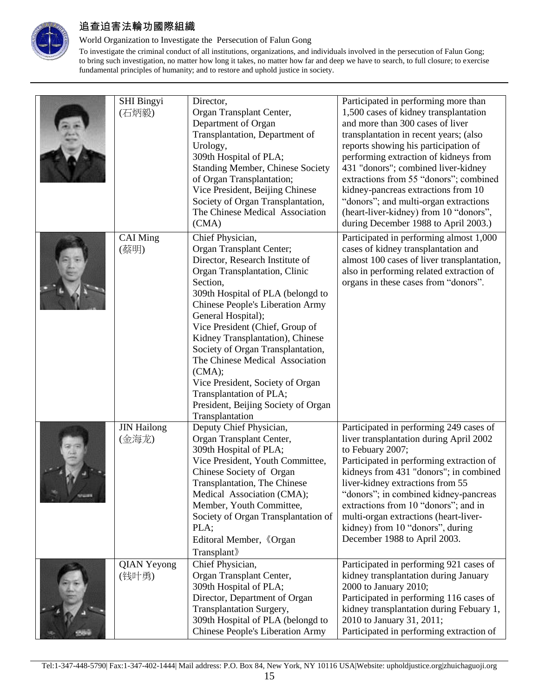

### World Organization to Investigate the Persecution of Falun Gong

|               | <b>SHI Bingyi</b><br>(石炳毅)  | Director,<br>Organ Transplant Center,<br>Department of Organ<br>Transplantation, Department of<br>Urology,<br>309th Hospital of PLA;<br><b>Standing Member, Chinese Society</b><br>of Organ Transplantation;<br>Vice President, Beijing Chinese<br>Society of Organ Transplantation,<br>The Chinese Medical Association<br>(CMA)                                                                                                                                                                                     | Participated in performing more than<br>1,500 cases of kidney transplantation<br>and more than 300 cases of liver<br>transplantation in recent years; (also<br>reports showing his participation of<br>performing extraction of kidneys from<br>431 "donors"; combined liver-kidney<br>extractions from 55 "donors"; combined<br>kidney-pancreas extractions from 10<br>"donors"; and multi-organ extractions<br>(heart-liver-kidney) from 10 "donors",<br>during December 1988 to April 2003.) |
|---------------|-----------------------------|----------------------------------------------------------------------------------------------------------------------------------------------------------------------------------------------------------------------------------------------------------------------------------------------------------------------------------------------------------------------------------------------------------------------------------------------------------------------------------------------------------------------|-------------------------------------------------------------------------------------------------------------------------------------------------------------------------------------------------------------------------------------------------------------------------------------------------------------------------------------------------------------------------------------------------------------------------------------------------------------------------------------------------|
|               | <b>CAI Ming</b><br>(蔡明)     | Chief Physician,<br>Organ Transplant Center;<br>Director, Research Institute of<br>Organ Transplantation, Clinic<br>Section,<br>309th Hospital of PLA (belongd to<br><b>Chinese People's Liberation Army</b><br>General Hospital);<br>Vice President (Chief, Group of<br>Kidney Transplantation), Chinese<br>Society of Organ Transplantation,<br>The Chinese Medical Association<br>(CMA);<br>Vice President, Society of Organ<br>Transplantation of PLA;<br>President, Beijing Society of Organ<br>Transplantation | Participated in performing almost 1,000<br>cases of kidney transplantation and<br>almost 100 cases of liver transplantation,<br>also in performing related extraction of<br>organs in these cases from "donors".                                                                                                                                                                                                                                                                                |
| <b>STATES</b> | <b>JIN Hailong</b><br>(金海龙) | Deputy Chief Physician,<br>Organ Transplant Center,<br>309th Hospital of PLA;<br>Vice President, Youth Committee,<br>Chinese Society of Organ<br>Transplantation, The Chinese<br>Medical Association (CMA);<br>Member, Youth Committee,<br>Society of Organ Transplantation of<br>PLA;<br>Editoral Member, 《Organ<br>Transplant》                                                                                                                                                                                     | Participated in performing 249 cases of<br>liver transplantation during April 2002<br>to Febuary 2007;<br>Participated in performing extraction of<br>kidneys from 431 "donors"; in combined<br>liver-kidney extractions from 55<br>"donors"; in combined kidney-pancreas<br>extractions from 10 "donors"; and in<br>multi-organ extractions (heart-liver-<br>kidney) from 10 "donors", during<br>December 1988 to April 2003.                                                                  |
|               | <b>QIAN Yeyong</b><br>(钱叶勇) | Chief Physician,<br>Organ Transplant Center,<br>309th Hospital of PLA;<br>Director, Department of Organ<br>Transplantation Surgery,<br>309th Hospital of PLA (belongd to<br>Chinese People's Liberation Army                                                                                                                                                                                                                                                                                                         | Participated in performing 921 cases of<br>kidney transplantation during January<br>2000 to January 2010;<br>Participated in performing 116 cases of<br>kidney transplantation during Febuary 1,<br>2010 to January 31, 2011;<br>Participated in performing extraction of                                                                                                                                                                                                                       |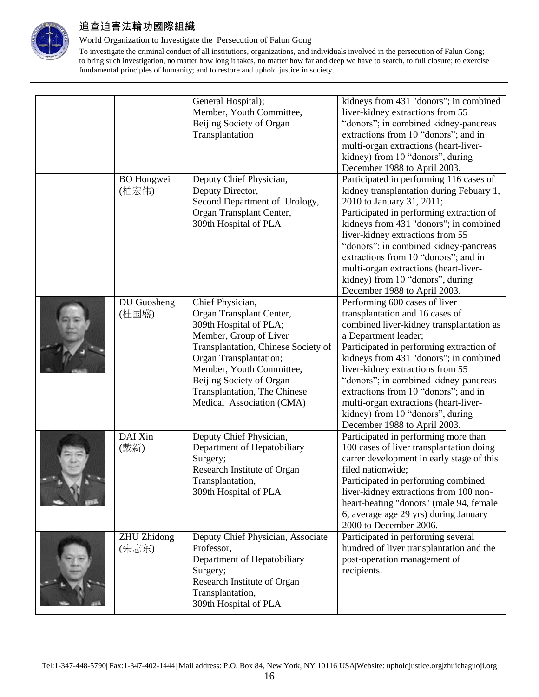

#### World Organization to Investigate the Persecution of Falun Gong

|                             | General Hospital);<br>Member, Youth Committee,<br>Beijing Society of Organ<br>Transplantation                                                                                                                                                                                          | kidneys from 431 "donors"; in combined<br>liver-kidney extractions from 55<br>"donors"; in combined kidney-pancreas<br>extractions from 10 "donors"; and in<br>multi-organ extractions (heart-liver-<br>kidney) from 10 "donors", during<br>December 1988 to April 2003.                                                                                                                                                                                     |
|-----------------------------|----------------------------------------------------------------------------------------------------------------------------------------------------------------------------------------------------------------------------------------------------------------------------------------|--------------------------------------------------------------------------------------------------------------------------------------------------------------------------------------------------------------------------------------------------------------------------------------------------------------------------------------------------------------------------------------------------------------------------------------------------------------|
| <b>BO</b> Hongwei<br>(柏宏伟)  | Deputy Chief Physician,<br>Deputy Director,<br>Second Department of Urology,<br>Organ Transplant Center,<br>309th Hospital of PLA                                                                                                                                                      | Participated in performing 116 cases of<br>kidney transplantation during Febuary 1,<br>2010 to January 31, 2011;<br>Participated in performing extraction of<br>kidneys from 431 "donors"; in combined<br>liver-kidney extractions from 55<br>"donors"; in combined kidney-pancreas<br>extractions from 10 "donors"; and in<br>multi-organ extractions (heart-liver-<br>kidney) from 10 "donors", during<br>December 1988 to April 2003.                     |
| <b>DU</b> Guosheng<br>(杜国盛) | Chief Physician,<br>Organ Transplant Center,<br>309th Hospital of PLA;<br>Member, Group of Liver<br>Transplantation, Chinese Society of<br>Organ Transplantation;<br>Member, Youth Committee,<br>Beijing Society of Organ<br>Transplantation, The Chinese<br>Medical Association (CMA) | Performing 600 cases of liver<br>transplantation and 16 cases of<br>combined liver-kidney transplantation as<br>a Department leader;<br>Participated in performing extraction of<br>kidneys from 431 "donors"; in combined<br>liver-kidney extractions from 55<br>"donors"; in combined kidney-pancreas<br>extractions from 10 "donors"; and in<br>multi-organ extractions (heart-liver-<br>kidney) from 10 "donors", during<br>December 1988 to April 2003. |
| DAI Xin<br>(戴新)             | Deputy Chief Physician,<br>Department of Hepatobiliary<br>Surgery;<br>Research Institute of Organ<br>Transplantation,<br>309th Hospital of PLA                                                                                                                                         | Participated in performing more than<br>100 cases of liver transplantation doing<br>carrer development in early stage of this<br>filed nationwide;<br>Participated in performing combined<br>liver-kidney extractions from 100 non-<br>heart-beating "donors" (male 94, female<br>6, average age 29 yrs) during January<br>2000 to December 2006.                                                                                                            |
| <b>ZHU Zhidong</b><br>(朱志东) | Deputy Chief Physician, Associate<br>Professor,<br>Department of Hepatobiliary<br>Surgery;<br>Research Institute of Organ<br>Transplantation,<br>309th Hospital of PLA                                                                                                                 | Participated in performing several<br>hundred of liver transplantation and the<br>post-operation management of<br>recipients.                                                                                                                                                                                                                                                                                                                                |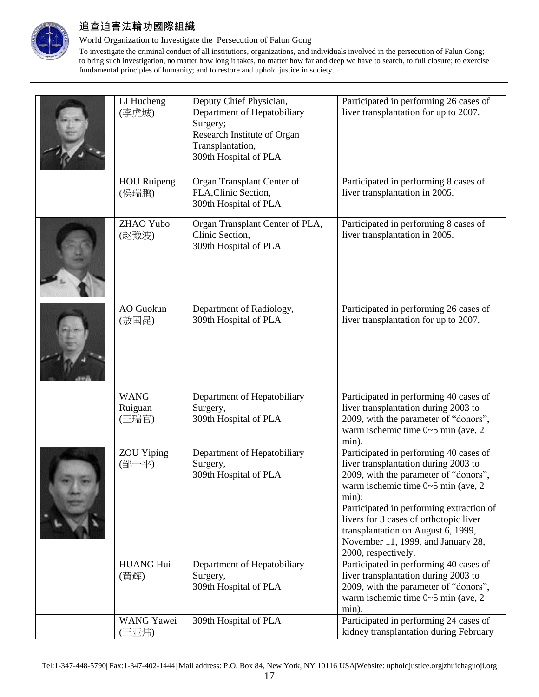

### World Organization to Investigate the Persecution of Falun Gong

| LI Hucheng<br>(李虎城)             | Deputy Chief Physician,<br>Department of Hepatobiliary<br>Surgery;<br>Research Institute of Organ<br>Transplantation,<br>309th Hospital of PLA | Participated in performing 26 cases of<br>liver transplantation for up to 2007.                                                                                                                                                                                                                                                                                         |
|---------------------------------|------------------------------------------------------------------------------------------------------------------------------------------------|-------------------------------------------------------------------------------------------------------------------------------------------------------------------------------------------------------------------------------------------------------------------------------------------------------------------------------------------------------------------------|
| <b>HOU Ruipeng</b><br>(侯瑞鹏)     | Organ Transplant Center of<br>PLA, Clinic Section,<br>309th Hospital of PLA                                                                    | Participated in performing 8 cases of<br>liver transplantation in 2005.                                                                                                                                                                                                                                                                                                 |
| ZHAO Yubo<br>(赵豫波)              | Organ Transplant Center of PLA,<br>Clinic Section,<br>309th Hospital of PLA                                                                    | Participated in performing 8 cases of<br>liver transplantation in 2005.                                                                                                                                                                                                                                                                                                 |
| <b>AO</b> Guokun<br>(敖国昆)       | Department of Radiology,<br>309th Hospital of PLA                                                                                              | Participated in performing 26 cases of<br>liver transplantation for up to 2007.                                                                                                                                                                                                                                                                                         |
| <b>WANG</b><br>Ruiguan<br>(王瑞官) | Department of Hepatobiliary<br>Surgery,<br>309th Hospital of PLA                                                                               | Participated in performing 40 cases of<br>liver transplantation during 2003 to<br>2009, with the parameter of "donors",<br>warm ischemic time $0 \sim 5$ min (ave, 2)<br>min).                                                                                                                                                                                          |
| <b>ZOU Yiping</b><br>(邹一平)      | Department of Hepatobiliary<br>Surgery,<br>309th Hospital of PLA                                                                               | Participated in performing 40 cases of<br>liver transplantation during 2003 to<br>2009, with the parameter of "donors",<br>warm ischemic time $0 \sim 5$ min (ave, 2)<br>min);<br>Participated in performing extraction of<br>livers for 3 cases of orthotopic liver<br>transplantation on August 6, 1999,<br>November 11, 1999, and January 28,<br>2000, respectively. |
| <b>HUANG Hui</b><br>(黄辉)        | Department of Hepatobiliary<br>Surgery,<br>309th Hospital of PLA                                                                               | Participated in performing 40 cases of<br>liver transplantation during 2003 to<br>2009, with the parameter of "donors",<br>warm ischemic time $0 \sim 5$ min (ave, 2)<br>min).                                                                                                                                                                                          |
| <b>WANG Yawei</b><br>(王亚炜)      | 309th Hospital of PLA                                                                                                                          | Participated in performing 24 cases of<br>kidney transplantation during February                                                                                                                                                                                                                                                                                        |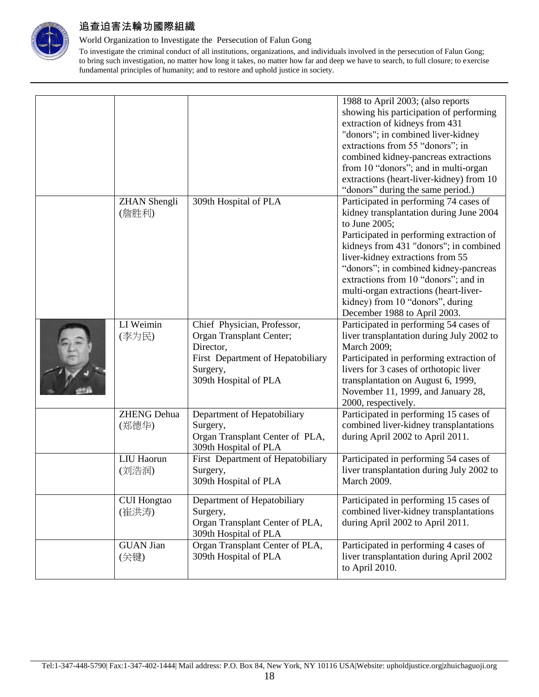

#### World Organization to Investigate the Persecution of Falun Gong

|                                 |                                                                                                                                                | 1988 to April 2003; (also reports<br>showing his participation of performing<br>extraction of kidneys from 431<br>"donors"; in combined liver-kidney<br>extractions from 55 "donors"; in<br>combined kidney-pancreas extractions<br>from 10 "donors"; and in multi-organ<br>extractions (heart-liver-kidney) from 10<br>"donors" during the same period.)                                                                  |
|---------------------------------|------------------------------------------------------------------------------------------------------------------------------------------------|----------------------------------------------------------------------------------------------------------------------------------------------------------------------------------------------------------------------------------------------------------------------------------------------------------------------------------------------------------------------------------------------------------------------------|
| <b>ZHAN</b> Shengli<br>(詹胜利)    | 309th Hospital of PLA                                                                                                                          | Participated in performing 74 cases of<br>kidney transplantation during June 2004<br>to June 2005;<br>Participated in performing extraction of<br>kidneys from 431 "donors"; in combined<br>liver-kidney extractions from 55<br>"donors"; in combined kidney-pancreas<br>extractions from 10 "donors"; and in<br>multi-organ extractions (heart-liver-<br>kidney) from 10 "donors", during<br>December 1988 to April 2003. |
| $\overline{LI}$ Weimin<br>(李为民) | Chief Physician, Professor,<br>Organ Transplant Center;<br>Director,<br>First Department of Hepatobiliary<br>Surgery,<br>309th Hospital of PLA | Participated in performing 54 cases of<br>liver transplantation during July 2002 to<br>March 2009;<br>Participated in performing extraction of<br>livers for 3 cases of orthotopic liver<br>transplantation on August 6, 1999,<br>November 11, 1999, and January 28,<br>2000, respectively.                                                                                                                                |
| <b>ZHENG Dehua</b><br>(郑德华)     | Department of Hepatobiliary<br>Surgery,<br>Organ Transplant Center of PLA,<br>309th Hospital of PLA                                            | Participated in performing 15 cases of<br>combined liver-kidney transplantations<br>during April 2002 to April 2011.                                                                                                                                                                                                                                                                                                       |
| LIU Haorun<br>(刘浩润)             | First Department of Hepatobiliary<br>Surgery,<br>309th Hospital of PLA                                                                         | Participated in performing 54 cases of<br>liver transplantation during July 2002 to<br>March 2009.                                                                                                                                                                                                                                                                                                                         |
| <b>CUI Hongtao</b><br>(崔洪涛)     | Department of Hepatobiliary<br>Surgery,<br>Organ Transplant Center of PLA,<br>309th Hospital of PLA                                            | Participated in performing 15 cases of<br>combined liver-kidney transplantations<br>during April 2002 to April 2011.                                                                                                                                                                                                                                                                                                       |
| <b>GUAN Jian</b><br>(关键)        | Organ Transplant Center of PLA,<br>309th Hospital of PLA                                                                                       | Participated in performing 4 cases of<br>liver transplantation during April 2002<br>to April 2010.                                                                                                                                                                                                                                                                                                                         |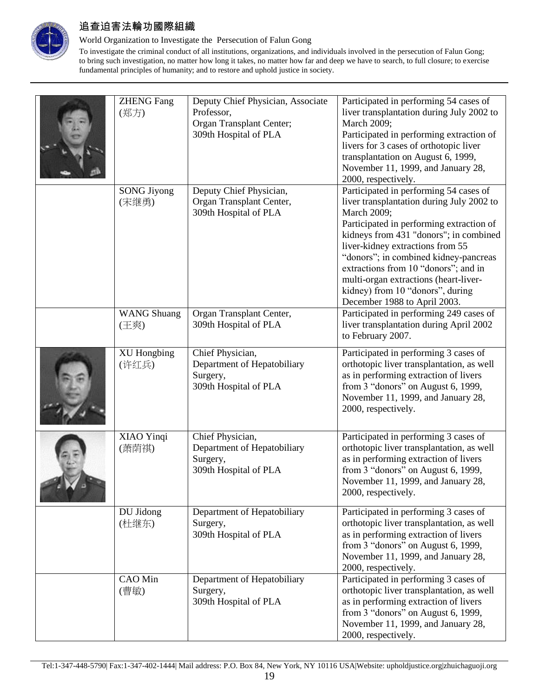

### World Organization to Investigate the Persecution of Falun Gong

| <b>ZHENG Fang</b><br>(郑方)   | Deputy Chief Physician, Associate<br>Professor,<br>Organ Transplant Center;<br>309th Hospital of PLA | Participated in performing 54 cases of<br>liver transplantation during July 2002 to<br>March 2009;<br>Participated in performing extraction of<br>livers for 3 cases of orthotopic liver<br>transplantation on August 6, 1999,<br>November 11, 1999, and January 28,<br>2000, respectively.                                                                                                                                |
|-----------------------------|------------------------------------------------------------------------------------------------------|----------------------------------------------------------------------------------------------------------------------------------------------------------------------------------------------------------------------------------------------------------------------------------------------------------------------------------------------------------------------------------------------------------------------------|
| <b>SONG Jiyong</b><br>(宋继勇) | Deputy Chief Physician,<br>Organ Transplant Center,<br>309th Hospital of PLA                         | Participated in performing 54 cases of<br>liver transplantation during July 2002 to<br>March 2009;<br>Participated in performing extraction of<br>kidneys from 431 "donors"; in combined<br>liver-kidney extractions from 55<br>"donors"; in combined kidney-pancreas<br>extractions from 10 "donors"; and in<br>multi-organ extractions (heart-liver-<br>kidney) from 10 "donors", during<br>December 1988 to April 2003. |
| <b>WANG Shuang</b><br>(王爽)  | Organ Transplant Center,<br>309th Hospital of PLA                                                    | Participated in performing 249 cases of<br>liver transplantation during April 2002<br>to February 2007.                                                                                                                                                                                                                                                                                                                    |
| <b>XU</b> Hongbing<br>(许红兵) | Chief Physician,<br>Department of Hepatobiliary<br>Surgery,<br>309th Hospital of PLA                 | Participated in performing 3 cases of<br>orthotopic liver transplantation, as well<br>as in performing extraction of livers<br>from 3 "donors" on August 6, 1999,<br>November 11, 1999, and January 28,<br>2000, respectively.                                                                                                                                                                                             |
| XIAO Yinqi<br>(萧荫祺)         | Chief Physician,<br>Department of Hepatobiliary<br>Surgery,<br>309th Hospital of PLA                 | Participated in performing 3 cases of<br>orthotopic liver transplantation, as well<br>as in performing extraction of livers<br>from 3 "donors" on August 6, 1999,<br>November 11, 1999, and January 28,<br>2000, respectively.                                                                                                                                                                                             |
| DU Jidong<br>(杜继东)          | Department of Hepatobiliary<br>Surgery,<br>309th Hospital of PLA                                     | Participated in performing 3 cases of<br>orthotopic liver transplantation, as well<br>as in performing extraction of livers<br>from 3 "donors" on August 6, 1999,<br>November 11, 1999, and January 28,<br>2000, respectively.                                                                                                                                                                                             |
| <b>CAO</b> Min<br>(曹敏)      | Department of Hepatobiliary<br>Surgery,<br>309th Hospital of PLA                                     | Participated in performing 3 cases of<br>orthotopic liver transplantation, as well<br>as in performing extraction of livers<br>from 3 "donors" on August 6, 1999,<br>November 11, 1999, and January 28,<br>2000, respectively.                                                                                                                                                                                             |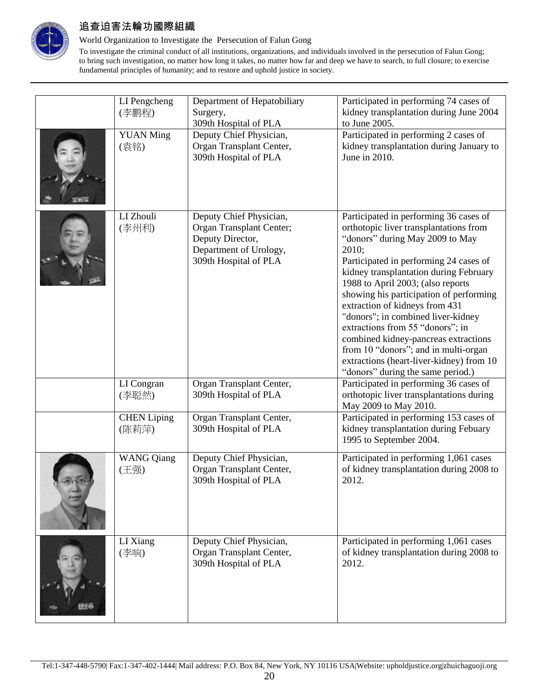

### World Organization to Investigate the Persecution of Falun Gong

| LI Pengcheng<br>(李鹏程)       | Department of Hepatobiliary<br>Surgery,<br>309th Hospital of PLA                                                           | Participated in performing 74 cases of<br>kidney transplantation during June 2004<br>to June 2005.                                                                                                                                                                                                                                                                                                                                                                                                                                                                            |
|-----------------------------|----------------------------------------------------------------------------------------------------------------------------|-------------------------------------------------------------------------------------------------------------------------------------------------------------------------------------------------------------------------------------------------------------------------------------------------------------------------------------------------------------------------------------------------------------------------------------------------------------------------------------------------------------------------------------------------------------------------------|
| <b>YUAN Ming</b><br>(袁铭)    | Deputy Chief Physician,<br>Organ Transplant Center,<br>309th Hospital of PLA                                               | Participated in performing 2 cases of<br>kidney transplantation during January to<br>June in 2010.                                                                                                                                                                                                                                                                                                                                                                                                                                                                            |
| LI Zhouli<br>(李州利)          | Deputy Chief Physician,<br>Organ Transplant Center;<br>Deputy Director,<br>Department of Urology,<br>309th Hospital of PLA | Participated in performing 36 cases of<br>orthotopic liver transplantations from<br>"donors" during May 2009 to May<br>2010;<br>Participated in performing 24 cases of<br>kidney transplantation during February<br>1988 to April 2003; (also reports<br>showing his participation of performing<br>extraction of kidneys from 431<br>"donors"; in combined liver-kidney<br>extractions from 55 "donors"; in<br>combined kidney-pancreas extractions<br>from 10 "donors"; and in multi-organ<br>extractions (heart-liver-kidney) from 10<br>"donors" during the same period.) |
| LI Congran<br>(李聪然)         | Organ Transplant Center,<br>309th Hospital of PLA                                                                          | Participated in performing 36 cases of<br>orthotopic liver transplantations during<br>May 2009 to May 2010.                                                                                                                                                                                                                                                                                                                                                                                                                                                                   |
| <b>CHEN</b> Liping<br>(陈莉萍) | Organ Transplant Center,<br>309th Hospital of PLA                                                                          | Participated in performing 153 cases of<br>kidney transplantation during Febuary<br>1995 to September 2004.                                                                                                                                                                                                                                                                                                                                                                                                                                                                   |
| <b>WANG Qiang</b><br>(王强)   | Deputy Chief Physician,<br>Organ Transplant Center,<br>309th Hospital of PLA                                               | Participated in performing 1,061 cases<br>of kidney transplantation during 2008 to<br>2012.                                                                                                                                                                                                                                                                                                                                                                                                                                                                                   |
| LI Xiang<br>(李响)            | Deputy Chief Physician,<br>Organ Transplant Center,<br>309th Hospital of PLA                                               | Participated in performing 1,061 cases<br>of kidney transplantation during 2008 to<br>2012.                                                                                                                                                                                                                                                                                                                                                                                                                                                                                   |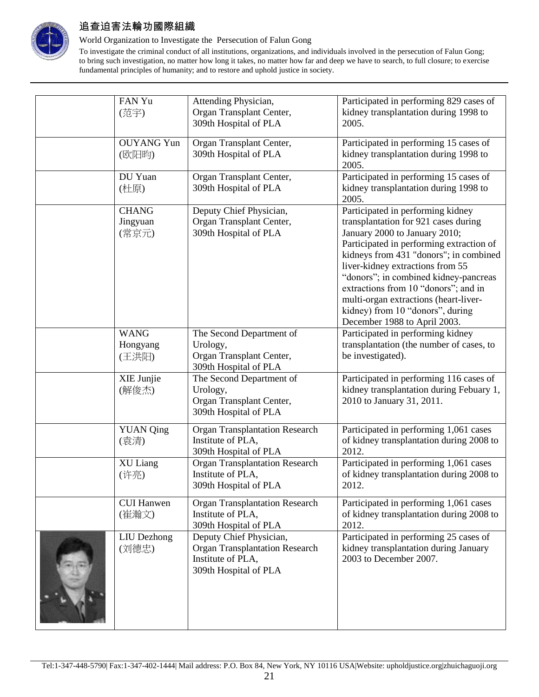

### World Organization to Investigate the Persecution of Falun Gong

| FAN Yu<br>(范宇)                    | Attending Physician,<br>Organ Transplant Center,<br>309th Hospital of PLA                                      | Participated in performing 829 cases of<br>kidney transplantation during 1998 to<br>2005.                                                                                                                                                                                                                                                                                                                                          |
|-----------------------------------|----------------------------------------------------------------------------------------------------------------|------------------------------------------------------------------------------------------------------------------------------------------------------------------------------------------------------------------------------------------------------------------------------------------------------------------------------------------------------------------------------------------------------------------------------------|
| <b>OUYANG Yun</b><br>(欧阳昀)        | Organ Transplant Center,<br>309th Hospital of PLA                                                              | Participated in performing 15 cases of<br>kidney transplantation during 1998 to<br>2005.                                                                                                                                                                                                                                                                                                                                           |
| DU Yuan<br>(杜原)                   | Organ Transplant Center,<br>309th Hospital of PLA                                                              | Participated in performing 15 cases of<br>kidney transplantation during 1998 to<br>2005.                                                                                                                                                                                                                                                                                                                                           |
| <b>CHANG</b><br>Jingyuan<br>(常京元) | Deputy Chief Physician,<br>Organ Transplant Center,<br>309th Hospital of PLA                                   | Participated in performing kidney<br>transplantation for 921 cases during<br>January 2000 to January 2010;<br>Participated in performing extraction of<br>kidneys from 431 "donors"; in combined<br>liver-kidney extractions from 55<br>"donors"; in combined kidney-pancreas<br>extractions from 10 "donors"; and in<br>multi-organ extractions (heart-liver-<br>kidney) from 10 "donors", during<br>December 1988 to April 2003. |
| <b>WANG</b><br>Hongyang<br>(王洪阳)  | The Second Department of<br>Urology,<br>Organ Transplant Center,<br>309th Hospital of PLA                      | Participated in performing kidney<br>transplantation (the number of cases, to<br>be investigated).                                                                                                                                                                                                                                                                                                                                 |
| XIE Junjie<br>(解俊杰)               | The Second Department of<br>Urology,<br>Organ Transplant Center,<br>309th Hospital of PLA                      | Participated in performing 116 cases of<br>kidney transplantation during Febuary 1,<br>2010 to January 31, 2011.                                                                                                                                                                                                                                                                                                                   |
| <b>YUAN</b> Qing<br>(袁清)          | <b>Organ Transplantation Research</b><br>Institute of PLA,<br>309th Hospital of PLA                            | Participated in performing 1,061 cases<br>of kidney transplantation during 2008 to<br>2012.                                                                                                                                                                                                                                                                                                                                        |
| XU Liang<br>(许亮)                  | <b>Organ Transplantation Research</b><br>Institute of PLA,<br>309th Hospital of PLA                            | Participated in performing 1,061 cases<br>of kidney transplantation during 2008 to<br>2012.                                                                                                                                                                                                                                                                                                                                        |
| <b>CUI Hanwen</b><br>(崔瀚文)        | <b>Organ Transplantation Research</b><br>Institute of PLA,<br>309th Hospital of PLA                            | Participated in performing 1,061 cases<br>of kidney transplantation during 2008 to<br>2012.                                                                                                                                                                                                                                                                                                                                        |
| <b>LIU</b> Dezhong<br>(刘德忠)       | Deputy Chief Physician,<br><b>Organ Transplantation Research</b><br>Institute of PLA,<br>309th Hospital of PLA | Participated in performing 25 cases of<br>kidney transplantation during January<br>2003 to December 2007.                                                                                                                                                                                                                                                                                                                          |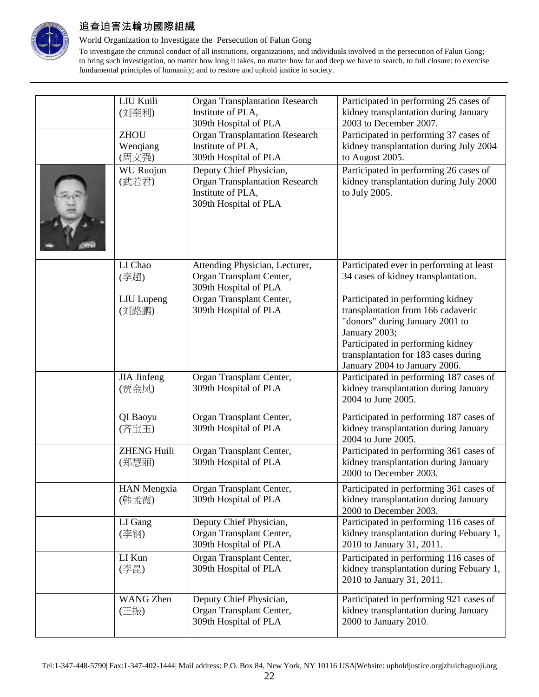

### World Organization to Investigate the Persecution of Falun Gong

| LIU Kuili<br>(刘奎利)<br><b>ZHOU</b><br>Wenqiang<br>(周文强)<br><b>WU</b> Ruojun<br>(武若君) | <b>Organ Transplantation Research</b><br>Institute of PLA,<br>309th Hospital of PLA<br><b>Organ Transplantation Research</b><br>Institute of PLA,<br>309th Hospital of PLA<br>Deputy Chief Physician,<br><b>Organ Transplantation Research</b><br>Institute of PLA,<br>309th Hospital of PLA | Participated in performing 25 cases of<br>kidney transplantation during January<br>2003 to December 2007.<br>Participated in performing 37 cases of<br>kidney transplantation during July 2004<br>to August 2005.<br>Participated in performing 26 cases of<br>kidney transplantation during July 2000<br>to July 2005. |
|-------------------------------------------------------------------------------------|----------------------------------------------------------------------------------------------------------------------------------------------------------------------------------------------------------------------------------------------------------------------------------------------|-------------------------------------------------------------------------------------------------------------------------------------------------------------------------------------------------------------------------------------------------------------------------------------------------------------------------|
| LI Chao<br>(李超)                                                                     | Attending Physician, Lecturer,<br>Organ Transplant Center,<br>309th Hospital of PLA                                                                                                                                                                                                          | Participated ever in performing at least<br>34 cases of kidney transplantation.                                                                                                                                                                                                                                         |
| LIU Lupeng<br>(刘路鹏)                                                                 | Organ Transplant Center,<br>309th Hospital of PLA                                                                                                                                                                                                                                            | Participated in performing kidney<br>transplantation from 166 cadaveric<br>"donors" during January 2001 to<br>January 2003;<br>Participated in performing kidney<br>transplantation for 183 cases during<br>January 2004 to January 2006.                                                                               |
| <b>JIA</b> Jinfeng<br>(贾金凤)                                                         | Organ Transplant Center,<br>309th Hospital of PLA                                                                                                                                                                                                                                            | Participated in performing 187 cases of<br>kidney transplantation during January<br>2004 to June 2005.                                                                                                                                                                                                                  |
| QI Baoyu<br>(齐宝玉)                                                                   | Organ Transplant Center,<br>309th Hospital of PLA                                                                                                                                                                                                                                            | Participated in performing 187 cases of<br>kidney transplantation during January<br>2004 to June 2005.                                                                                                                                                                                                                  |
| <b>ZHENG Huili</b><br>(郑慧丽)                                                         | Organ Transplant Center,<br>309th Hospital of PLA                                                                                                                                                                                                                                            | Participated in performing 361 cases of<br>kidney transplantation during January<br>2000 to December 2003.                                                                                                                                                                                                              |
| <b>HAN Mengxia</b><br>(韩孟霞)                                                         | Organ Transplant Center,<br>309th Hospital of PLA                                                                                                                                                                                                                                            | Participated in performing 361 cases of<br>kidney transplantation during January<br>2000 to December 2003.                                                                                                                                                                                                              |
| LI Gang<br>(李钢)                                                                     | Deputy Chief Physician,<br>Organ Transplant Center,<br>309th Hospital of PLA                                                                                                                                                                                                                 | Participated in performing 116 cases of<br>kidney transplantation during Febuary 1,<br>2010 to January 31, 2011.                                                                                                                                                                                                        |
| LI Kun<br>(李昆)                                                                      | Organ Transplant Center,<br>309th Hospital of PLA                                                                                                                                                                                                                                            | Participated in performing 116 cases of<br>kidney transplantation during Febuary 1,<br>2010 to January 31, 2011.                                                                                                                                                                                                        |
| WANG Zhen<br>(王振)                                                                   | Deputy Chief Physician,<br>Organ Transplant Center,<br>309th Hospital of PLA                                                                                                                                                                                                                 | Participated in performing 921 cases of<br>kidney transplantation during January<br>2000 to January 2010.                                                                                                                                                                                                               |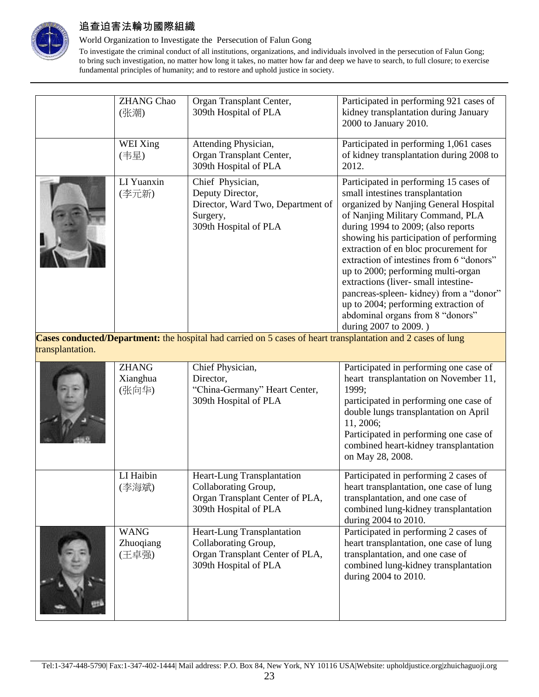

### World Organization to Investigate the Persecution of Falun Gong

To investigate the criminal conduct of all institutions, organizations, and individuals involved in the persecution of Falun Gong; to bring such investigation, no matter how long it takes, no matter how far and deep we have to search, to full closure; to exercise fundamental principles of humanity; and to restore and uphold justice in society.

| WEI Xing<br>Attending Physician,<br>Participated in performing 1,061 cases<br>Organ Transplant Center,<br>of kidney transplantation during 2008 to<br>(韦星)<br>309th Hospital of PLA<br>2012.<br>LI Yuanxin<br>Chief Physician,<br>Participated in performing 15 cases of<br>small intestines transplantation<br>(李元新)<br>Deputy Director,<br>organized by Nanjing General Hospital<br>Director, Ward Two, Department of<br>of Nanjing Military Command, PLA<br>Surgery,<br>309th Hospital of PLA<br>during 1994 to 2009; (also reports<br>showing his participation of performing<br>extraction of en bloc procurement for<br>extraction of intestines from 6 "donors"<br>up to 2000; performing multi-organ<br>extractions (liver- small intestine-<br>pancreas-spleen- kidney) from a "donor"<br>up to 2004; performing extraction of<br>abdominal organs from 8 "donors"<br>during 2007 to 2009.)<br>Cogas conducted Department: the hospital had comicd on 5 gases of heart transplantation and 2 gases of lung | <b>ZHANG Chao</b><br>(张潮) | Organ Transplant Center,<br>309th Hospital of PLA | Participated in performing 921 cases of<br>kidney transplantation during January<br>2000 to January 2010. |
|---------------------------------------------------------------------------------------------------------------------------------------------------------------------------------------------------------------------------------------------------------------------------------------------------------------------------------------------------------------------------------------------------------------------------------------------------------------------------------------------------------------------------------------------------------------------------------------------------------------------------------------------------------------------------------------------------------------------------------------------------------------------------------------------------------------------------------------------------------------------------------------------------------------------------------------------------------------------------------------------------------------------|---------------------------|---------------------------------------------------|-----------------------------------------------------------------------------------------------------------|
|                                                                                                                                                                                                                                                                                                                                                                                                                                                                                                                                                                                                                                                                                                                                                                                                                                                                                                                                                                                                                     |                           |                                                   |                                                                                                           |
|                                                                                                                                                                                                                                                                                                                                                                                                                                                                                                                                                                                                                                                                                                                                                                                                                                                                                                                                                                                                                     |                           |                                                   |                                                                                                           |

**Cases conducted/Department:** the hospital had carried on 5 cases of heart transplantation and 2 cases of lung transplantation.

| <b>ZHANG</b><br>Xianghua<br>(张向华) | Chief Physician,<br>Director,<br>"China-Germany" Heart Center,<br>309th Hospital of PLA                        | Participated in performing one case of<br>heart transplantation on November 11,<br>1999;<br>participated in performing one case of<br>double lungs transplantation on April<br>11, 2006;<br>Participated in performing one case of<br>combined heart-kidney transplantation<br>on May 28, 2008. |
|-----------------------------------|----------------------------------------------------------------------------------------------------------------|-------------------------------------------------------------------------------------------------------------------------------------------------------------------------------------------------------------------------------------------------------------------------------------------------|
| LI Haibin<br>(李海斌)                | Heart-Lung Transplantation<br>Collaborating Group,<br>Organ Transplant Center of PLA,<br>309th Hospital of PLA | Participated in performing 2 cases of<br>heart transplantation, one case of lung<br>transplantation, and one case of<br>combined lung-kidney transplantation<br>during 2004 to 2010.                                                                                                            |
| <b>WANG</b><br>Zhuoqiang<br>(王卓强) | Heart-Lung Transplantation<br>Collaborating Group,<br>Organ Transplant Center of PLA,<br>309th Hospital of PLA | Participated in performing 2 cases of<br>heart transplantation, one case of lung<br>transplantation, and one case of<br>combined lung-kidney transplantation<br>during 2004 to 2010.                                                                                                            |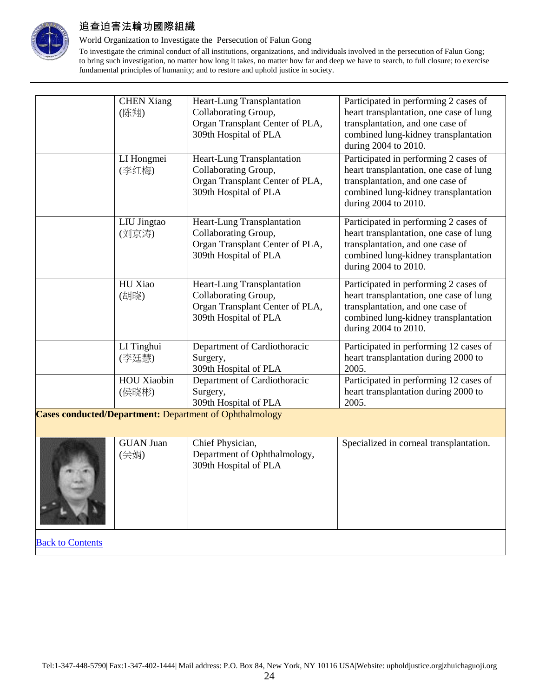

#### World Organization to Investigate the Persecution of Falun Gong

|                                                                | <b>CHEN Xiang</b><br>(陈翔) | Heart-Lung Transplantation<br>Collaborating Group,<br>Organ Transplant Center of PLA,<br>309th Hospital of PLA | Participated in performing 2 cases of<br>heart transplantation, one case of lung<br>transplantation, and one case of<br>combined lung-kidney transplantation<br>during 2004 to 2010. |  |
|----------------------------------------------------------------|---------------------------|----------------------------------------------------------------------------------------------------------------|--------------------------------------------------------------------------------------------------------------------------------------------------------------------------------------|--|
|                                                                | LI Hongmei<br>(李红梅)       | Heart-Lung Transplantation<br>Collaborating Group,<br>Organ Transplant Center of PLA,<br>309th Hospital of PLA | Participated in performing 2 cases of<br>heart transplantation, one case of lung<br>transplantation, and one case of<br>combined lung-kidney transplantation<br>during 2004 to 2010. |  |
|                                                                | LIU Jingtao<br>(刘京涛)      | Heart-Lung Transplantation<br>Collaborating Group,<br>Organ Transplant Center of PLA,<br>309th Hospital of PLA | Participated in performing 2 cases of<br>heart transplantation, one case of lung<br>transplantation, and one case of<br>combined lung-kidney transplantation<br>during 2004 to 2010. |  |
|                                                                | HU Xiao<br>(胡晓)           | Heart-Lung Transplantation<br>Collaborating Group,<br>Organ Transplant Center of PLA,<br>309th Hospital of PLA | Participated in performing 2 cases of<br>heart transplantation, one case of lung<br>transplantation, and one case of<br>combined lung-kidney transplantation<br>during 2004 to 2010. |  |
|                                                                | LI Tinghui<br>(李廷慧)       | Department of Cardiothoracic<br>Surgery,<br>309th Hospital of PLA                                              | Participated in performing 12 cases of<br>heart transplantation during 2000 to<br>2005.                                                                                              |  |
|                                                                | HOU Xiaobin<br>(侯晓彬)      | Department of Cardiothoracic<br>Surgery,<br>309th Hospital of PLA                                              | Participated in performing 12 cases of<br>heart transplantation during 2000 to<br>2005.                                                                                              |  |
| <b>Cases conducted/Department:</b> Department of Ophthalmology |                           |                                                                                                                |                                                                                                                                                                                      |  |
|                                                                | <b>GUAN Juan</b><br>(关娟)  | Chief Physician,<br>Department of Ophthalmology,<br>309th Hospital of PLA                                      | Specialized in corneal transplantation.                                                                                                                                              |  |
| <b>Back to Contents</b>                                        |                           |                                                                                                                |                                                                                                                                                                                      |  |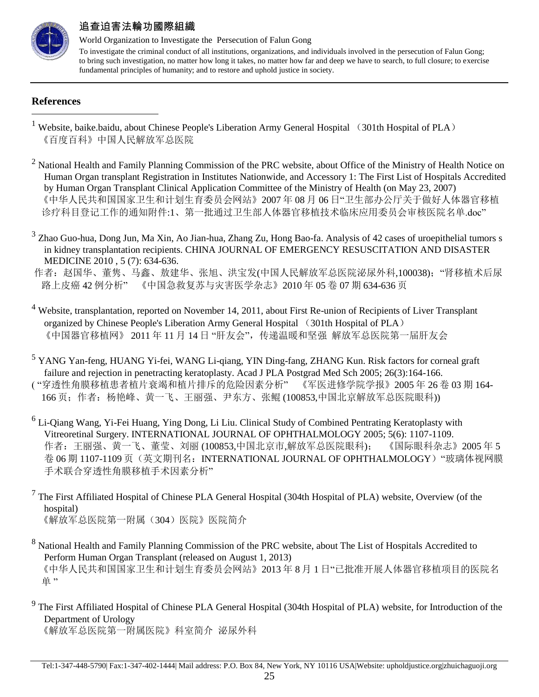

World Organization to Investigate the Persecution of Falun Gong To investigate the criminal conduct of all institutions, organizations, and individuals involved in the persecution of Falun Gong; to bring such investigation, no matter how long it takes, no matter how far and deep we have to search, to full closure; to exercise fundamental principles of humanity; and to restore and uphold justice in society.

### **References**

 $\overline{a}$ 

- <sup>1</sup> Website, baike.baidu, about Chinese People's Liberation Army General Hospital (301th Hospital of PLA) 《百度百科》中国人民解放军总医院
- $2$  National Health and Family Planning Commission of the PRC website, about Office of the Ministry of Health Notice on Human Organ transplant Registration in Institutes Nationwide, and Accessory 1: The First List of Hospitals Accredited by Human Organ Transplant Clinical Application Committee of the Ministry of Health (on May 23, 2007) 《中华人民共和国国家卫生和计划生育委员会网站》2007 年 08 月 06 日"卫生部办公厅关于做好人体器官移植 诊疗科目登记工作的通知附件:1、第一批通过卫生部人体器官移植技术临床应用委员会审核医院名单.doc"
- <sup>3</sup> Zhao Guo-hua, Dong Jun, Ma Xin, Ao Jian-hua, Zhang Zu, Hong Bao-fa. Analysis of 42 cases of uroepithelial tumors s in kidney transplantation recipients. CHINA JOURNAL OF EMERGENCY RESUSCITATION AND DISASTER MEDICINE 2010 , 5 (7): 634-636.

作者: 赵国华、董隽、马鑫、敖建华、张旭、洪宝发(中国人民解放军总医院泌尿外科,100038); "肾移植术后尿 路上皮癌 42 例分析" 《中国急救复苏与灾害医学杂志》2010 年 05 卷 07 期 634-636 页

- <sup>4</sup> Website, transplantation, reported on November 14, 2011, about First Re-union of Recipients of Liver Transplant organized by Chinese People's Liberation Army General Hospital (301th Hospital of PLA) 《中国器官移植网》 2011 年 11 月 14 日 "肝友会",传递温暖和坚强 解放军总医院第一届肝友会
- <sup>5</sup> YANG Yan-feng, HUANG Yi-fei, WANG Li-qiang, YIN Ding-fang, ZHANG Kun. Risk factors for corneal graft failure and rejection in penetracting keratoplasty. Acad J PLA Postgrad Med Sch 2005; 26(3):164-166. ( "穿透性角膜移植患者植片衰竭和植片排斥的危险因素分析" 《军医进修学院学报》2005 年 26 卷 03 期 164- 166 页;作者:杨艳峰、黄一飞、王丽强、尹东方、张鲲 (100853,中国北京解放军总医院眼科))
- <sup>6</sup> Li-Qiang Wang, Yi-Fei Huang, Ying Dong, Li Liu. Clinical Study of Combined Pentrating Keratoplasty with Vitreoretinal Surgery. INTERNATIONAL JOURNAL OF OPHTHALMOLOGY 2005; 5(6): 1107-1109. 作者:王丽强、黄一飞、董莹、刘丽 (100853,中国北京市,解放军总医院眼科); 《国际眼科杂志》2005 年 5 卷 06 期 1107-1109 页(英文期刊名: INTERNATIONAL JOURNAL OF OPHTHALMOLOGY) "玻璃体视网膜 手术联合穿透性角膜移植手术因素分析"
- $<sup>7</sup>$  The First Affiliated Hospital of Chinese PLA General Hospital (304th Hospital of PLA) website, Overview (of the</sup> hospital) 《解放军总医院第一附属(304)医院》医院简介
- <sup>8</sup> National Health and Family Planning Commission of the PRC website, about The List of Hospitals Accredited to Perform Human Organ Transplant (released on August 1, 2013) 《中华人民共和国国家卫生和计划生育委员会网站》2013 年 8 月 1 日"已批准开展人体器官移植项目的医院名 单"
- <sup>9</sup> The First Affiliated Hospital of Chinese PLA General Hospital (304th Hospital of PLA) website, for Introduction of the Department of Urology 《解放军总医院第一附属医院》科室简介 泌尿外科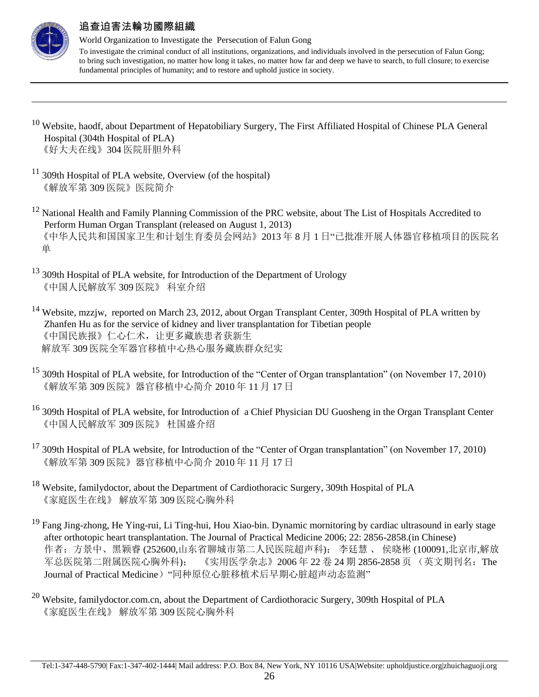

 $\overline{a}$ 

## 追查迫害法輪功國際組織

World Organization to Investigate the Persecution of Falun Gong

- <sup>10</sup> Website, haodf, about Department of Hepatobiliary Surgery, The First Affiliated Hospital of Chinese PLA General Hospital (304th Hospital of PLA) 《好大夫在线》304 医院肝胆外科
- $11$  309th Hospital of PLA website, Overview (of the hospital) 《解放军第 309 医院》医院简介
- <sup>12</sup> National Health and Family Planning Commission of the PRC website, about The List of Hospitals Accredited to Perform Human Organ Transplant (released on August 1, 2013) 《中华人民共和国国家卫生和计划生育委员会网站》2013 年 8 月 1 日"已批准开展人体器官移植项目的医院名 单
- <sup>13</sup> 309th Hospital of PLA website, for Introduction of the Department of Urology 《中国人民解放军 309 医院》 科室介绍
- <sup>14</sup> Website, mzzjw, reported on March 23, 2012, about Organ Transplant Center, 309th Hospital of PLA written by Zhanfen Hu as for the service of kidney and liver transplantation for Tibetian people 《中国民族报》仁心仁术,让更多藏族患者获新生 解放军 309 医院全军器官移植中心热心服务藏族群众纪实
- <sup>15</sup> 309th Hospital of PLA website, for Introduction of the "Center of Organ transplantation" (on November 17, 2010) 《解放军第 309 医院》器官移植中心简介 2010 年 11 月 17 日
- <sup>16</sup> 309th Hospital of PLA website, for Introduction of a Chief Physician DU Guosheng in the Organ Transplant Center 《中国人民解放军 309 医院》 杜国盛介绍
- $^{17}$  309th Hospital of PLA website, for Introduction of the "Center of Organ transplantation" (on November 17, 2010) 《解放军第 309 医院》器官移植中心简介 2010 年 11 月 17 日
- <sup>18</sup> Website, familydoctor, about the Department of Cardiothoracic Surgery, 309th Hospital of PLA 《家庭医生在线》 解放军第 309 医院心胸外科
- <sup>19</sup> Fang Jing-zhong, He Ying-rui, Li Ting-hui, Hou Xiao-bin. Dynamic mornitoring by cardiac ultrasound in early stage after orthotopic heart transplantation. The Journal of Practical Medicine 2006; 22: 2856-2858.(in Chinese) 作者:方景中、黑颖睿 (252600,山东省聊城市第二人民医院超声科); 李廷慧 、 侯晓彬 (100091,北京市,解放 军总医院第二附属医院心胸外科); 《实用医学杂志》2006年 22卷 24 期 2856-2858 页 (英文期刊名: The Journal of Practical Medicine) "同种原位心脏移植术后早期心脏超声动态监测"
- <sup>20</sup> Website, familydoctor.com.cn, about the Department of Cardiothoracic Surgery, 309th Hospital of PLA 《家庭医生在线》 解放军第 309 医院心胸外科